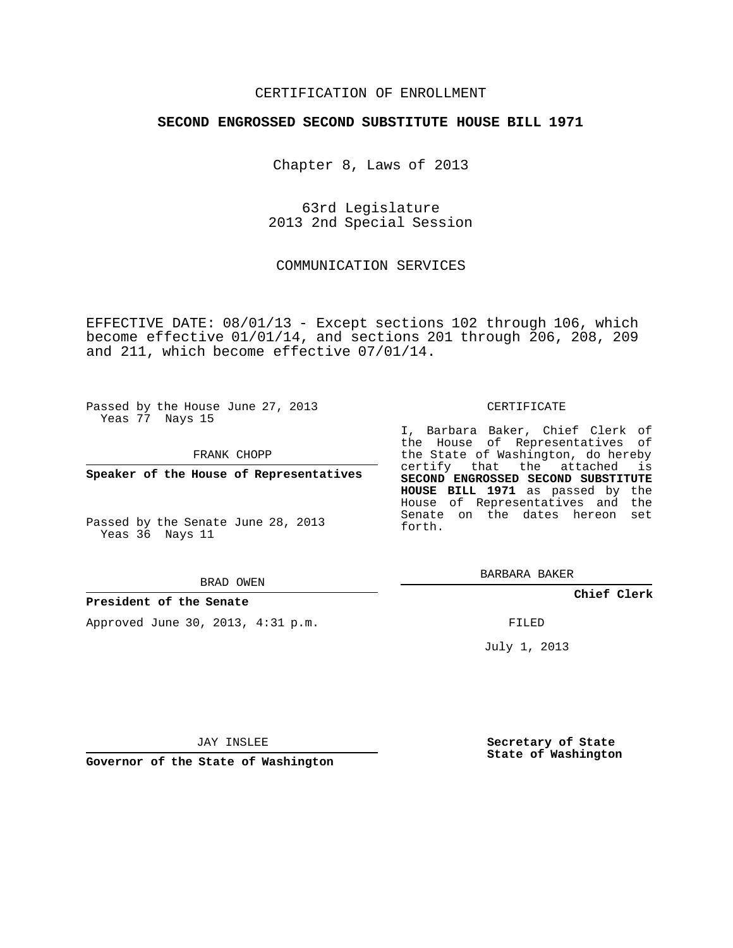#### CERTIFICATION OF ENROLLMENT

#### **SECOND ENGROSSED SECOND SUBSTITUTE HOUSE BILL 1971**

Chapter 8, Laws of 2013

63rd Legislature 2013 2nd Special Session

COMMUNICATION SERVICES

EFFECTIVE DATE: 08/01/13 - Except sections 102 through 106, which become effective 01/01/14, and sections 201 through 206, 208, 209 and 211, which become effective 07/01/14.

Passed by the House June 27, 2013 Yeas 77 Nays 15

FRANK CHOPP

**Speaker of the House of Representatives**

Passed by the Senate June 28, 2013 Yeas 36 Nays 11

#### BRAD OWEN

**President of the Senate**

Approved June 30, 2013, 4:31 p.m.

#### CERTIFICATE

I, Barbara Baker, Chief Clerk of the House of Representatives of the State of Washington, do hereby certify that the attached is **SECOND ENGROSSED SECOND SUBSTITUTE HOUSE BILL 1971** as passed by the House of Representatives and the Senate on the dates hereon set forth.

BARBARA BAKER

**Chief Clerk**

FILED

July 1, 2013

JAY INSLEE

**Governor of the State of Washington**

**Secretary of State State of Washington**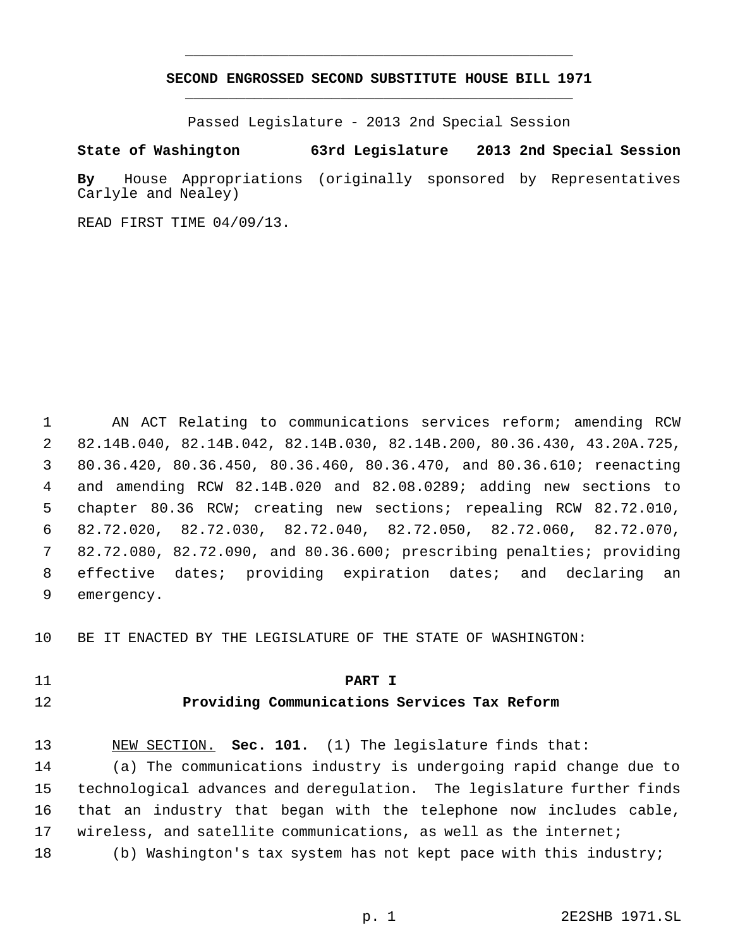# **SECOND ENGROSSED SECOND SUBSTITUTE HOUSE BILL 1971** \_\_\_\_\_\_\_\_\_\_\_\_\_\_\_\_\_\_\_\_\_\_\_\_\_\_\_\_\_\_\_\_\_\_\_\_\_\_\_\_\_\_\_\_\_

\_\_\_\_\_\_\_\_\_\_\_\_\_\_\_\_\_\_\_\_\_\_\_\_\_\_\_\_\_\_\_\_\_\_\_\_\_\_\_\_\_\_\_\_\_

Passed Legislature - 2013 2nd Special Session

## **State of Washington 63rd Legislature 2013 2nd Special Session**

**By** House Appropriations (originally sponsored by Representatives Carlyle and Nealey)

READ FIRST TIME 04/09/13.

 AN ACT Relating to communications services reform; amending RCW 82.14B.040, 82.14B.042, 82.14B.030, 82.14B.200, 80.36.430, 43.20A.725, 80.36.420, 80.36.450, 80.36.460, 80.36.470, and 80.36.610; reenacting and amending RCW 82.14B.020 and 82.08.0289; adding new sections to chapter 80.36 RCW; creating new sections; repealing RCW 82.72.010, 82.72.020, 82.72.030, 82.72.040, 82.72.050, 82.72.060, 82.72.070, 82.72.080, 82.72.090, and 80.36.600; prescribing penalties; providing effective dates; providing expiration dates; and declaring an emergency.

BE IT ENACTED BY THE LEGISLATURE OF THE STATE OF WASHINGTON:

#### **PART I**

## **Providing Communications Services Tax Reform**

 NEW SECTION. **Sec. 101.** (1) The legislature finds that: (a) The communications industry is undergoing rapid change due to technological advances and deregulation. The legislature further finds that an industry that began with the telephone now includes cable, wireless, and satellite communications, as well as the internet; (b) Washington's tax system has not kept pace with this industry;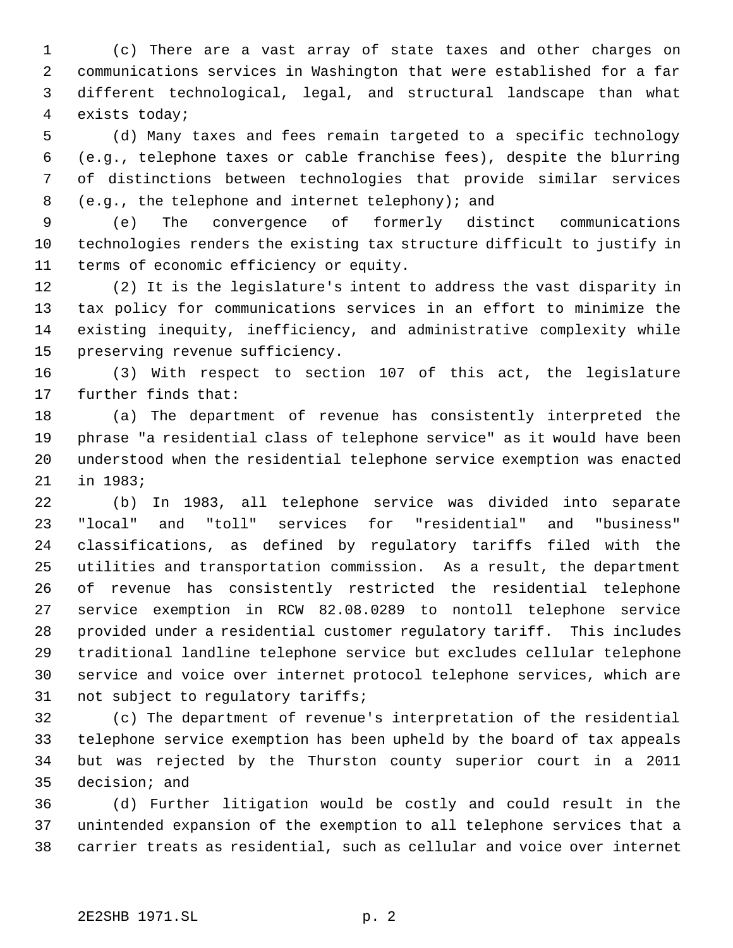(c) There are a vast array of state taxes and other charges on communications services in Washington that were established for a far different technological, legal, and structural landscape than what exists today;

 (d) Many taxes and fees remain targeted to a specific technology (e.g., telephone taxes or cable franchise fees), despite the blurring of distinctions between technologies that provide similar services (e.g., the telephone and internet telephony); and

 (e) The convergence of formerly distinct communications technologies renders the existing tax structure difficult to justify in terms of economic efficiency or equity.

 (2) It is the legislature's intent to address the vast disparity in tax policy for communications services in an effort to minimize the existing inequity, inefficiency, and administrative complexity while preserving revenue sufficiency.

 (3) With respect to section 107 of this act, the legislature further finds that:

 (a) The department of revenue has consistently interpreted the phrase "a residential class of telephone service" as it would have been understood when the residential telephone service exemption was enacted in 1983;

 (b) In 1983, all telephone service was divided into separate "local" and "toll" services for "residential" and "business" classifications, as defined by regulatory tariffs filed with the utilities and transportation commission. As a result, the department of revenue has consistently restricted the residential telephone service exemption in RCW 82.08.0289 to nontoll telephone service provided under a residential customer regulatory tariff. This includes traditional landline telephone service but excludes cellular telephone service and voice over internet protocol telephone services, which are not subject to regulatory tariffs;

 (c) The department of revenue's interpretation of the residential telephone service exemption has been upheld by the board of tax appeals but was rejected by the Thurston county superior court in a 2011 decision; and

 (d) Further litigation would be costly and could result in the unintended expansion of the exemption to all telephone services that a carrier treats as residential, such as cellular and voice over internet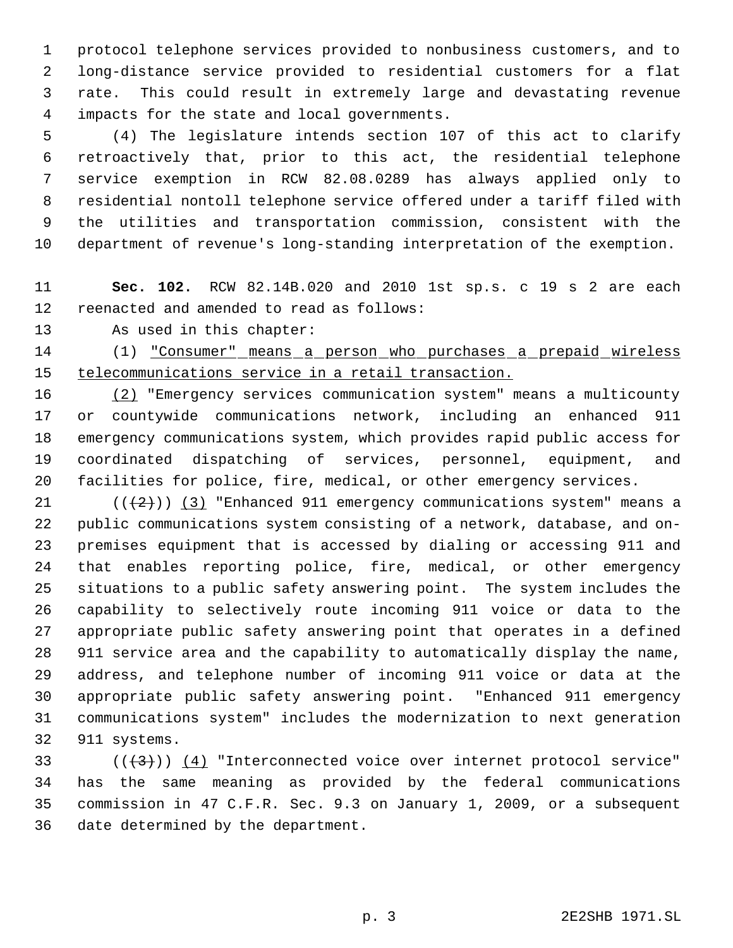protocol telephone services provided to nonbusiness customers, and to long-distance service provided to residential customers for a flat rate. This could result in extremely large and devastating revenue impacts for the state and local governments.

 (4) The legislature intends section 107 of this act to clarify retroactively that, prior to this act, the residential telephone service exemption in RCW 82.08.0289 has always applied only to residential nontoll telephone service offered under a tariff filed with the utilities and transportation commission, consistent with the department of revenue's long-standing interpretation of the exemption.

# **Sec. 102.** RCW 82.14B.020 and 2010 1st sp.s. c 19 s 2 are each reenacted and amended to read as follows:

As used in this chapter:

# (1) "Consumer" means a person who purchases a prepaid wireless 15 telecommunications service in a retail transaction.

 (2) "Emergency services communication system" means a multicounty or countywide communications network, including an enhanced 911 emergency communications system, which provides rapid public access for coordinated dispatching of services, personnel, equipment, and facilities for police, fire, medical, or other emergency services.

 $((+2))$   $(3)$  "Enhanced 911 emergency communications system" means a public communications system consisting of a network, database, and on- premises equipment that is accessed by dialing or accessing 911 and that enables reporting police, fire, medical, or other emergency situations to a public safety answering point. The system includes the capability to selectively route incoming 911 voice or data to the appropriate public safety answering point that operates in a defined 911 service area and the capability to automatically display the name, address, and telephone number of incoming 911 voice or data at the appropriate public safety answering point. "Enhanced 911 emergency communications system" includes the modernization to next generation 911 systems.

 $((+3))$   $(4)$  "Interconnected voice over internet protocol service" has the same meaning as provided by the federal communications commission in 47 C.F.R. Sec. 9.3 on January 1, 2009, or a subsequent date determined by the department.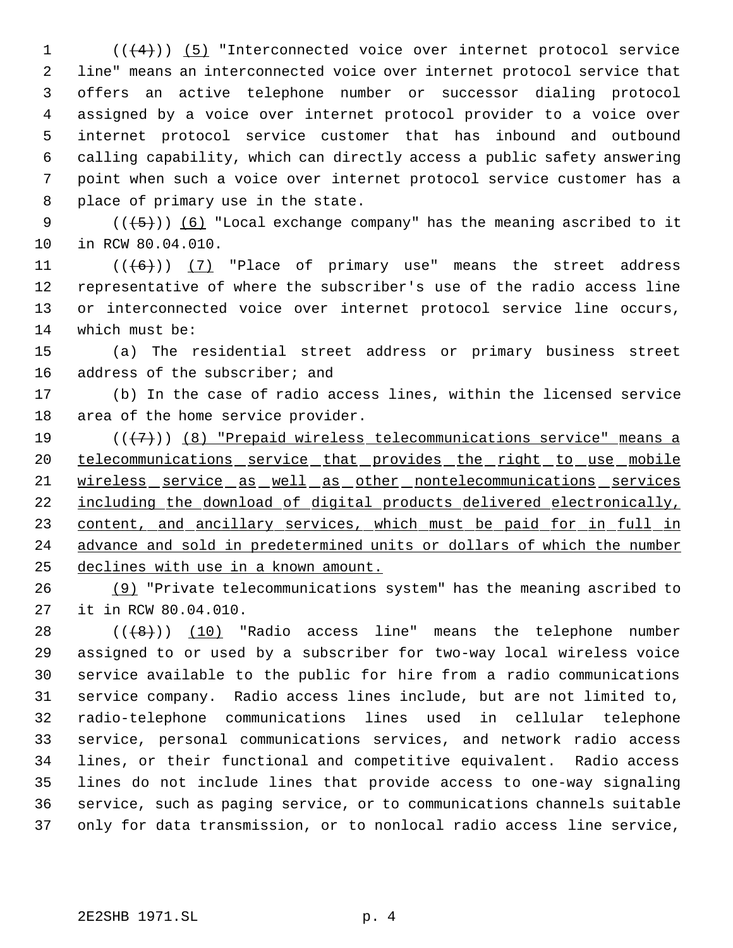(( $(4)$ )) (5) "Interconnected voice over internet protocol service line" means an interconnected voice over internet protocol service that offers an active telephone number or successor dialing protocol assigned by a voice over internet protocol provider to a voice over internet protocol service customer that has inbound and outbound calling capability, which can directly access a public safety answering point when such a voice over internet protocol service customer has a place of primary use in the state.

9  $((\{5\})$  (6) "Local exchange company" has the meaning ascribed to it in RCW 80.04.010.

 $((+6))$  (7) "Place of primary use" means the street address representative of where the subscriber's use of the radio access line or interconnected voice over internet protocol service line occurs, which must be:

 (a) The residential street address or primary business street address of the subscriber; and

 (b) In the case of radio access lines, within the licensed service area of the home service provider.

19  $((+7))$  (8) "Prepaid wireless telecommunications service" means a 20 telecommunications service that provides the right to use mobile 21 wireless service as well as other nontelecommunications services including the download of digital products delivered electronically, 23 content, and ancillary services, which must be paid for in full in advance and sold in predetermined units or dollars of which the number declines with use in a known amount.

 (9) "Private telecommunications system" has the meaning ascribed to it in RCW 80.04.010.

 $((+8))$   $(10)$  "Radio access line" means the telephone number assigned to or used by a subscriber for two-way local wireless voice service available to the public for hire from a radio communications service company. Radio access lines include, but are not limited to, radio-telephone communications lines used in cellular telephone service, personal communications services, and network radio access lines, or their functional and competitive equivalent. Radio access lines do not include lines that provide access to one-way signaling service, such as paging service, or to communications channels suitable only for data transmission, or to nonlocal radio access line service,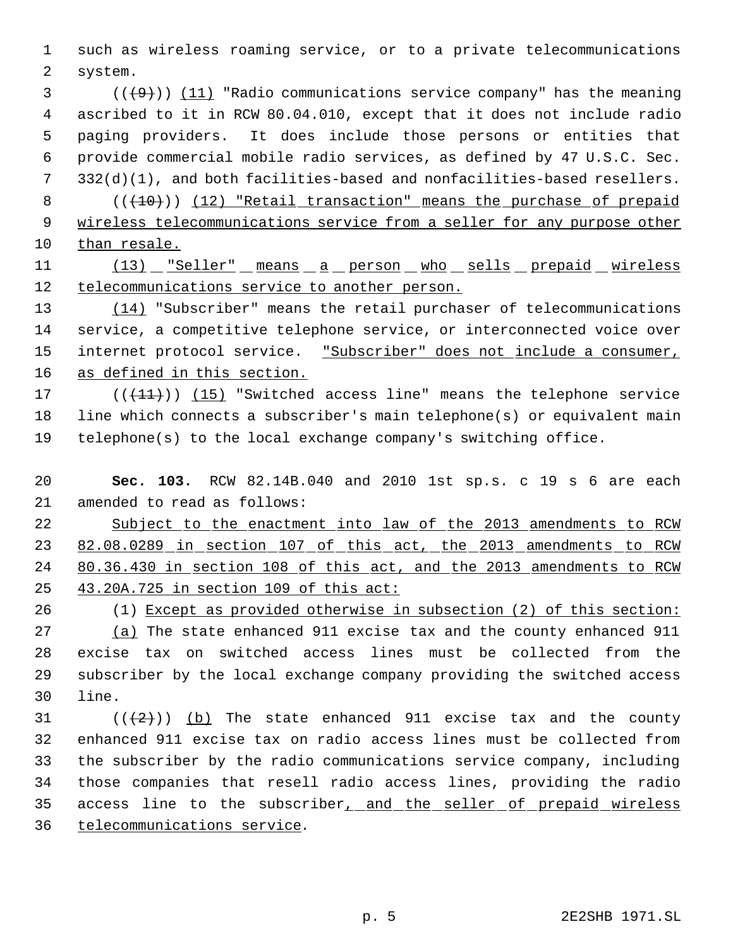such as wireless roaming service, or to a private telecommunications system.

 $(1)$  (( $(9)$ )) (11) "Radio communications service company" has the meaning ascribed to it in RCW 80.04.010, except that it does not include radio paging providers. It does include those persons or entities that provide commercial mobile radio services, as defined by 47 U.S.C. Sec. 332(d)(1), and both facilities-based and nonfacilities-based resellers. 8 (( $(10)$ )) (12) "Retail transaction" means the purchase of prepaid

 wireless telecommunications service from a seller for any purpose other than resale.

11 (13) "Seller" means a person who sells prepaid wireless telecommunications service to another person.

13 (14) "Subscriber" means the retail purchaser of telecommunications service, a competitive telephone service, or interconnected voice over 15 internet protocol service. "Subscriber" does not include a consumer, as defined in this section.

17 (((+1+))) (15) "Switched access line" means the telephone service line which connects a subscriber's main telephone(s) or equivalent main telephone(s) to the local exchange company's switching office.

 **Sec. 103.** RCW 82.14B.040 and 2010 1st sp.s. c 19 s 6 are each amended to read as follows:

 Subject to the enactment into law of the 2013 amendments to RCW 23 82.08.0289 in section 107 of this act, the 2013 amendments to RCW 80.36.430 in section 108 of this act, and the 2013 amendments to RCW 43.20A.725 in section 109 of this act:

(1) Except as provided otherwise in subsection (2) of this section:

 (a) The state enhanced 911 excise tax and the county enhanced 911 excise tax on switched access lines must be collected from the subscriber by the local exchange company providing the switched access line.

 $((2))$  (b) The state enhanced 911 excise tax and the county enhanced 911 excise tax on radio access lines must be collected from the subscriber by the radio communications service company, including those companies that resell radio access lines, providing the radio access line to the subscriber, and the seller of prepaid wireless telecommunications service.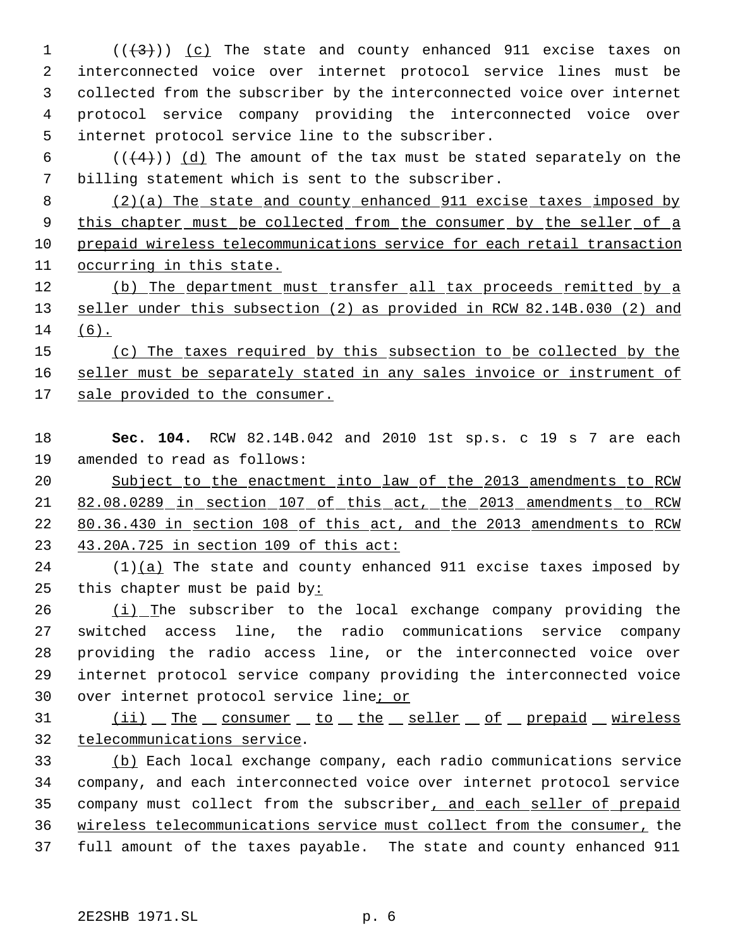$((+3))$   $(c)$  The state and county enhanced 911 excise taxes on interconnected voice over internet protocol service lines must be collected from the subscriber by the interconnected voice over internet protocol service company providing the interconnected voice over internet protocol service line to the subscriber.

 $((+4))$   $(d)$  The amount of the tax must be stated separately on the billing statement which is sent to the subscriber.

 (2)(a) The state and county enhanced 911 excise taxes imposed by 9 this chapter must be collected from the consumer by the seller of a prepaid wireless telecommunications service for each retail transaction occurring in this state.

12 (b) The department must transfer all tax proceeds remitted by a seller under this subsection (2) as provided in RCW 82.14B.030 (2) and (6).

15 (c) The taxes required by this subsection to be collected by the 16 seller must be separately stated in any sales invoice or instrument of 17 sale provided to the consumer.

 **Sec. 104.** RCW 82.14B.042 and 2010 1st sp.s. c 19 s 7 are each amended to read as follows:

 Subject to the enactment into law of the 2013 amendments to RCW 82.08.0289 in section 107 of this act, the 2013 amendments to RCW 80.36.430 in section 108 of this act, and the 2013 amendments to RCW 43.20A.725 in section 109 of this act:

 (1)(a) The state and county enhanced 911 excise taxes imposed by this chapter must be paid by:

 $(1)$  The subscriber to the local exchange company providing the switched access line, the radio communications service company providing the radio access line, or the interconnected voice over internet protocol service company providing the interconnected voice 30 over internet protocol service line; or

31 (ii) The consumer to the seller of prepaid wireless telecommunications service.

 (b) Each local exchange company, each radio communications service company, and each interconnected voice over internet protocol service company must collect from the subscriber, and each seller of prepaid wireless telecommunications service must collect from the consumer, the full amount of the taxes payable. The state and county enhanced 911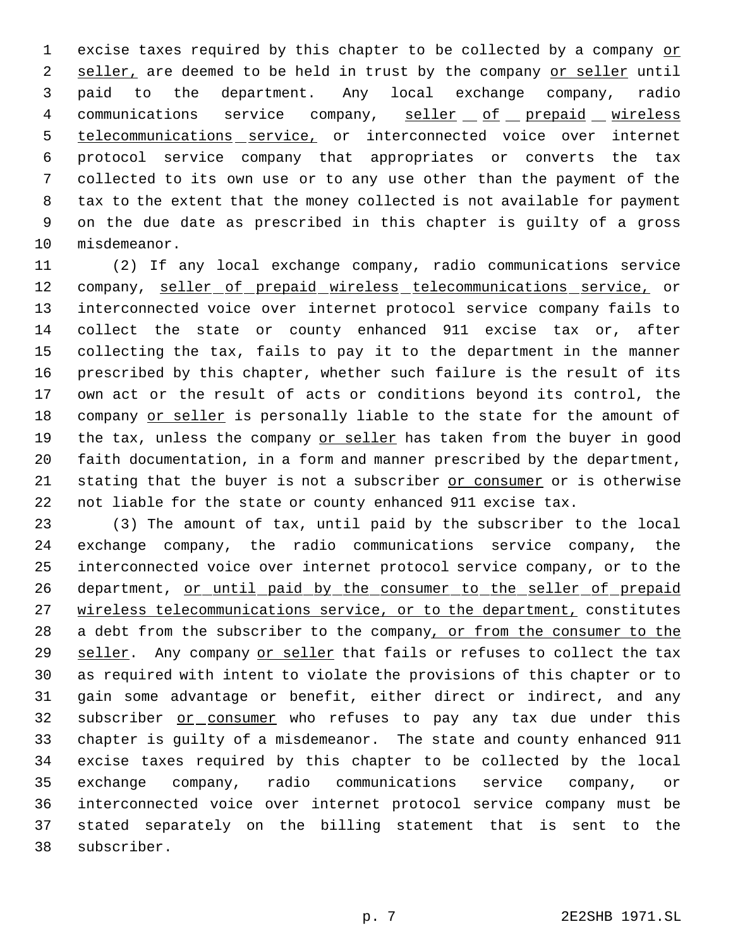1 excise taxes required by this chapter to be collected by a company or 2 seller, are deemed to be held in trust by the company or seller until paid to the department. Any local exchange company, radio 4 communications service company, seller of prepaid wireless telecommunications service, or interconnected voice over internet protocol service company that appropriates or converts the tax collected to its own use or to any use other than the payment of the tax to the extent that the money collected is not available for payment on the due date as prescribed in this chapter is guilty of a gross misdemeanor.

 (2) If any local exchange company, radio communications service 12 company, seller of prepaid wireless telecommunications service, or interconnected voice over internet protocol service company fails to collect the state or county enhanced 911 excise tax or, after collecting the tax, fails to pay it to the department in the manner prescribed by this chapter, whether such failure is the result of its own act or the result of acts or conditions beyond its control, the company or seller is personally liable to the state for the amount of 19 the tax, unless the company or seller has taken from the buyer in good faith documentation, in a form and manner prescribed by the department, stating that the buyer is not a subscriber or consumer or is otherwise not liable for the state or county enhanced 911 excise tax.

 (3) The amount of tax, until paid by the subscriber to the local exchange company, the radio communications service company, the interconnected voice over internet protocol service company, or to the 26 department, or until paid by the consumer to the seller of prepaid 27 wireless telecommunications service, or to the department, constitutes 28 a debt from the subscriber to the company, or from the consumer to the seller. Any company or seller that fails or refuses to collect the tax as required with intent to violate the provisions of this chapter or to gain some advantage or benefit, either direct or indirect, and any 32 subscriber or consumer who refuses to pay any tax due under this chapter is guilty of a misdemeanor. The state and county enhanced 911 excise taxes required by this chapter to be collected by the local exchange company, radio communications service company, or interconnected voice over internet protocol service company must be stated separately on the billing statement that is sent to the subscriber.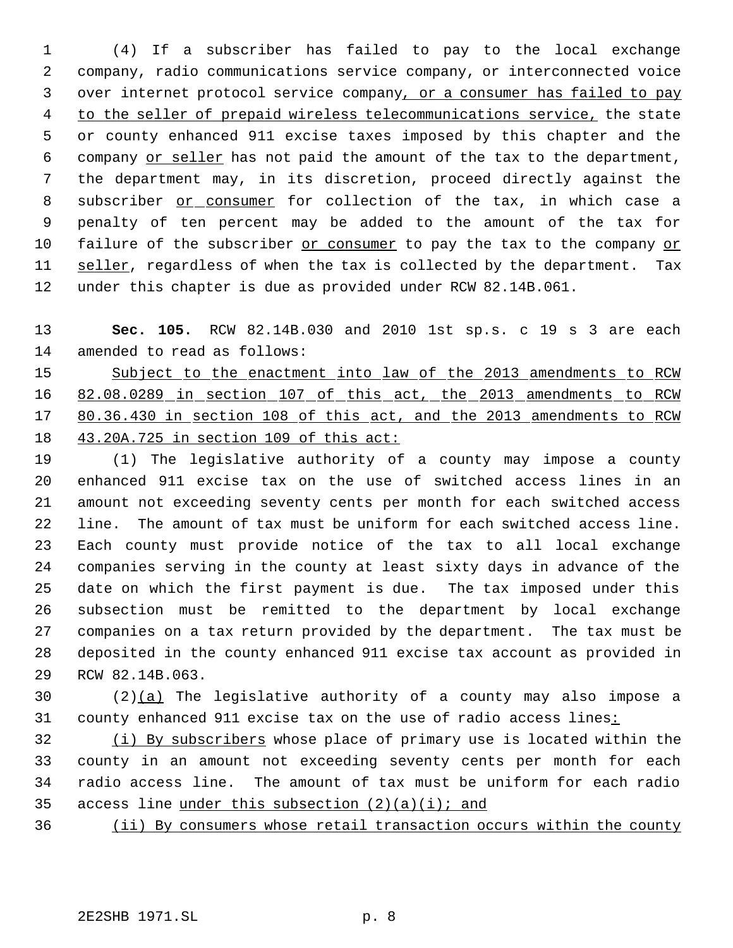(4) If a subscriber has failed to pay to the local exchange company, radio communications service company, or interconnected voice over internet protocol service company, or a consumer has failed to pay to the seller of prepaid wireless telecommunications service, the state or county enhanced 911 excise taxes imposed by this chapter and the company or seller has not paid the amount of the tax to the department, the department may, in its discretion, proceed directly against the 8 subscriber or consumer for collection of the tax, in which case a penalty of ten percent may be added to the amount of the tax for failure of the subscriber or consumer to pay the tax to the company or 11 seller, regardless of when the tax is collected by the department. Tax under this chapter is due as provided under RCW 82.14B.061.

 **Sec. 105.** RCW 82.14B.030 and 2010 1st sp.s. c 19 s 3 are each amended to read as follows:

 Subject to the enactment into law of the 2013 amendments to RCW 82.08.0289 in section 107 of this act, the 2013 amendments to RCW 17 80.36.430 in section 108 of this act, and the 2013 amendments to RCW 43.20A.725 in section 109 of this act:

 (1) The legislative authority of a county may impose a county enhanced 911 excise tax on the use of switched access lines in an amount not exceeding seventy cents per month for each switched access line. The amount of tax must be uniform for each switched access line. Each county must provide notice of the tax to all local exchange companies serving in the county at least sixty days in advance of the date on which the first payment is due. The tax imposed under this subsection must be remitted to the department by local exchange companies on a tax return provided by the department. The tax must be deposited in the county enhanced 911 excise tax account as provided in RCW 82.14B.063.

30  $(2)(a)$  The legislative authority of a county may also impose a county enhanced 911 excise tax on the use of radio access lines:

32 (i) By subscribers whose place of primary use is located within the county in an amount not exceeding seventy cents per month for each radio access line. The amount of tax must be uniform for each radio 35 access line under this subsection  $(2)(a)(i)$ ; and

(ii) By consumers whose retail transaction occurs within the county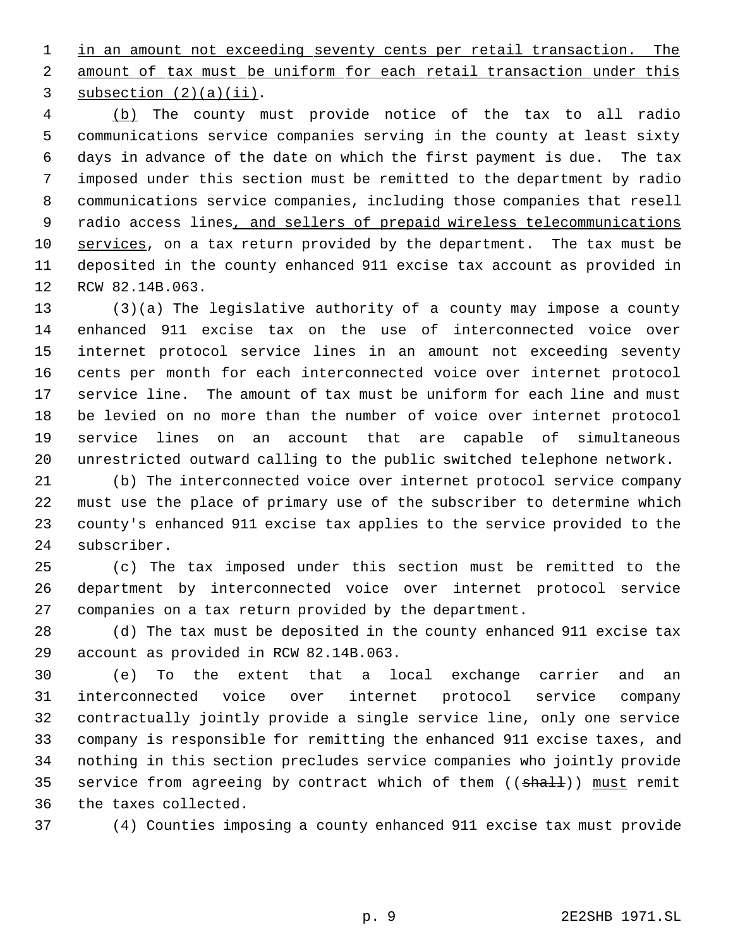1 in an amount not exceeding seventy cents per retail transaction. The 2 amount of tax must be uniform for each retail transaction under this 3 subsection  $(2)(a)(ii)$ .

 (b) The county must provide notice of the tax to all radio communications service companies serving in the county at least sixty days in advance of the date on which the first payment is due. The tax imposed under this section must be remitted to the department by radio communications service companies, including those companies that resell 9 radio access lines, and sellers of prepaid wireless telecommunications 10 services, on a tax return provided by the department. The tax must be deposited in the county enhanced 911 excise tax account as provided in RCW 82.14B.063.

 (3)(a) The legislative authority of a county may impose a county enhanced 911 excise tax on the use of interconnected voice over internet protocol service lines in an amount not exceeding seventy cents per month for each interconnected voice over internet protocol service line. The amount of tax must be uniform for each line and must be levied on no more than the number of voice over internet protocol service lines on an account that are capable of simultaneous unrestricted outward calling to the public switched telephone network.

 (b) The interconnected voice over internet protocol service company must use the place of primary use of the subscriber to determine which county's enhanced 911 excise tax applies to the service provided to the subscriber.

 (c) The tax imposed under this section must be remitted to the department by interconnected voice over internet protocol service companies on a tax return provided by the department.

 (d) The tax must be deposited in the county enhanced 911 excise tax account as provided in RCW 82.14B.063.

 (e) To the extent that a local exchange carrier and an interconnected voice over internet protocol service company contractually jointly provide a single service line, only one service company is responsible for remitting the enhanced 911 excise taxes, and nothing in this section precludes service companies who jointly provide 35 service from agreeing by contract which of them ((shall)) must remit the taxes collected.

(4) Counties imposing a county enhanced 911 excise tax must provide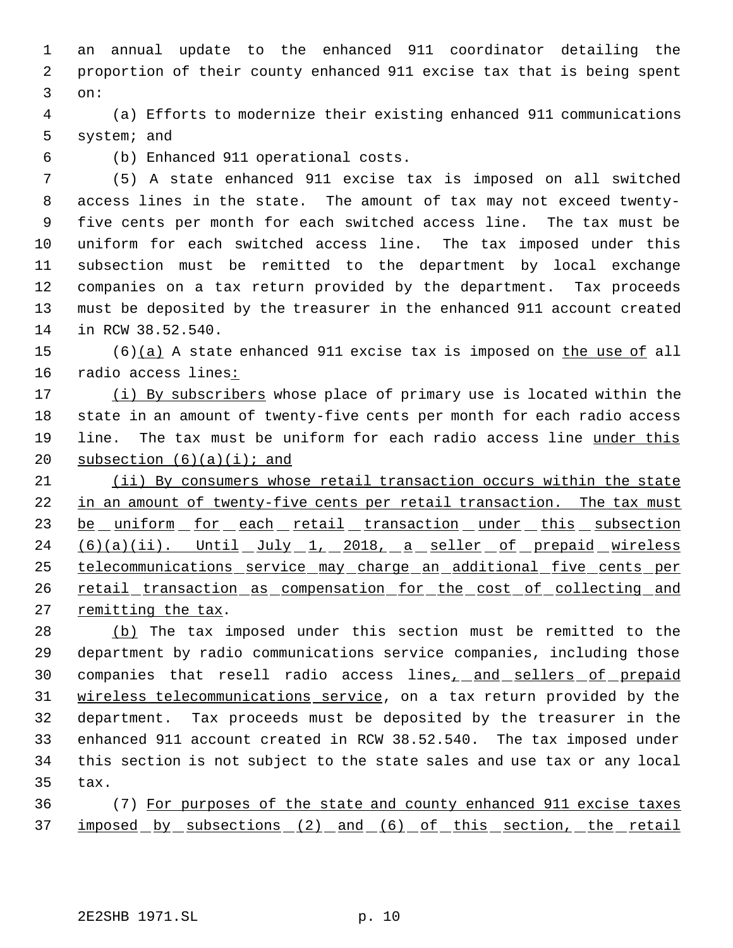an annual update to the enhanced 911 coordinator detailing the proportion of their county enhanced 911 excise tax that is being spent on:

 (a) Efforts to modernize their existing enhanced 911 communications system; and

(b) Enhanced 911 operational costs.

 (5) A state enhanced 911 excise tax is imposed on all switched access lines in the state. The amount of tax may not exceed twenty- five cents per month for each switched access line. The tax must be uniform for each switched access line. The tax imposed under this subsection must be remitted to the department by local exchange companies on a tax return provided by the department. Tax proceeds must be deposited by the treasurer in the enhanced 911 account created in RCW 38.52.540.

15 (6)(a) A state enhanced 911 excise tax is imposed on the use of all radio access lines:

17 (i) By subscribers whose place of primary use is located within the state in an amount of twenty-five cents per month for each radio access 19 line. The tax must be uniform for each radio access line under this 20 subsection  $(6)(a)(i)$ ; and

 (ii) By consumers whose retail transaction occurs within the state in an amount of twenty-five cents per retail transaction. The tax must 23 be uniform for each retail transaction under this subsection 24 (6)(a)(ii). Until July 1, 2018, a seller of prepaid wireless telecommunications service may charge an additional five cents per 26 retail transaction as compensation for the cost of collecting and 27 remitting the tax.

28 (b) The tax imposed under this section must be remitted to the department by radio communications service companies, including those 30 companies that resell radio access lines<sub>1</sub> and sellers of prepaid wireless telecommunications service, on a tax return provided by the department. Tax proceeds must be deposited by the treasurer in the enhanced 911 account created in RCW 38.52.540. The tax imposed under this section is not subject to the state sales and use tax or any local tax.

 (7) For purposes of the state and county enhanced 911 excise taxes 37 imposed by subsections (2) and (6) of this section, the retail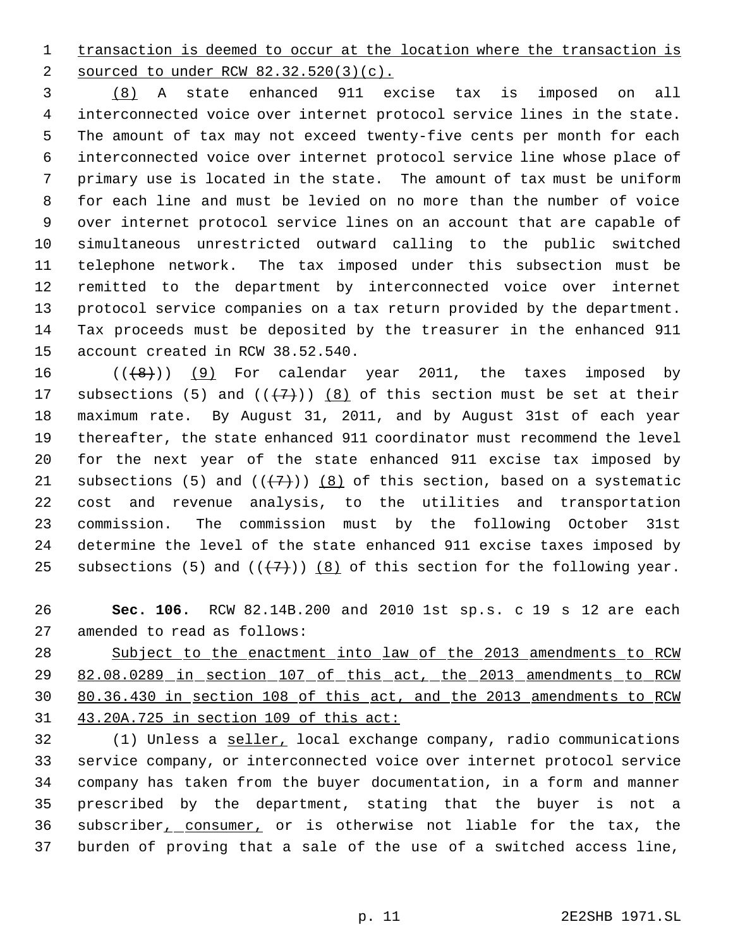1 transaction is deemed to occur at the location where the transaction is sourced to under RCW 82.32.520(3)(c).

 (8) A state enhanced 911 excise tax is imposed on all interconnected voice over internet protocol service lines in the state. The amount of tax may not exceed twenty-five cents per month for each interconnected voice over internet protocol service line whose place of primary use is located in the state. The amount of tax must be uniform for each line and must be levied on no more than the number of voice over internet protocol service lines on an account that are capable of simultaneous unrestricted outward calling to the public switched telephone network. The tax imposed under this subsection must be remitted to the department by interconnected voice over internet protocol service companies on a tax return provided by the department. Tax proceeds must be deposited by the treasurer in the enhanced 911 account created in RCW 38.52.540.

 $((\{8\})$  (9) For calendar year 2011, the taxes imposed by 17 subsections (5) and  $((+7))$   $(8)$  of this section must be set at their maximum rate. By August 31, 2011, and by August 31st of each year thereafter, the state enhanced 911 coordinator must recommend the level for the next year of the state enhanced 911 excise tax imposed by 21 subsections (5) and  $((+7)$ ) (8) of this section, based on a systematic cost and revenue analysis, to the utilities and transportation commission. The commission must by the following October 31st determine the level of the state enhanced 911 excise taxes imposed by 25 subsections (5) and  $((+7+))$  (8) of this section for the following year.

 **Sec. 106.** RCW 82.14B.200 and 2010 1st sp.s. c 19 s 12 are each amended to read as follows:

 Subject to the enactment into law of the 2013 amendments to RCW 82.08.0289 in section 107 of this act, the 2013 amendments to RCW 80.36.430 in section 108 of this act, and the 2013 amendments to RCW 43.20A.725 in section 109 of this act:

 (1) Unless a seller, local exchange company, radio communications service company, or interconnected voice over internet protocol service company has taken from the buyer documentation, in a form and manner prescribed by the department, stating that the buyer is not a 36 subscriber<sub>1</sub> consumer, or is otherwise not liable for the tax, the burden of proving that a sale of the use of a switched access line,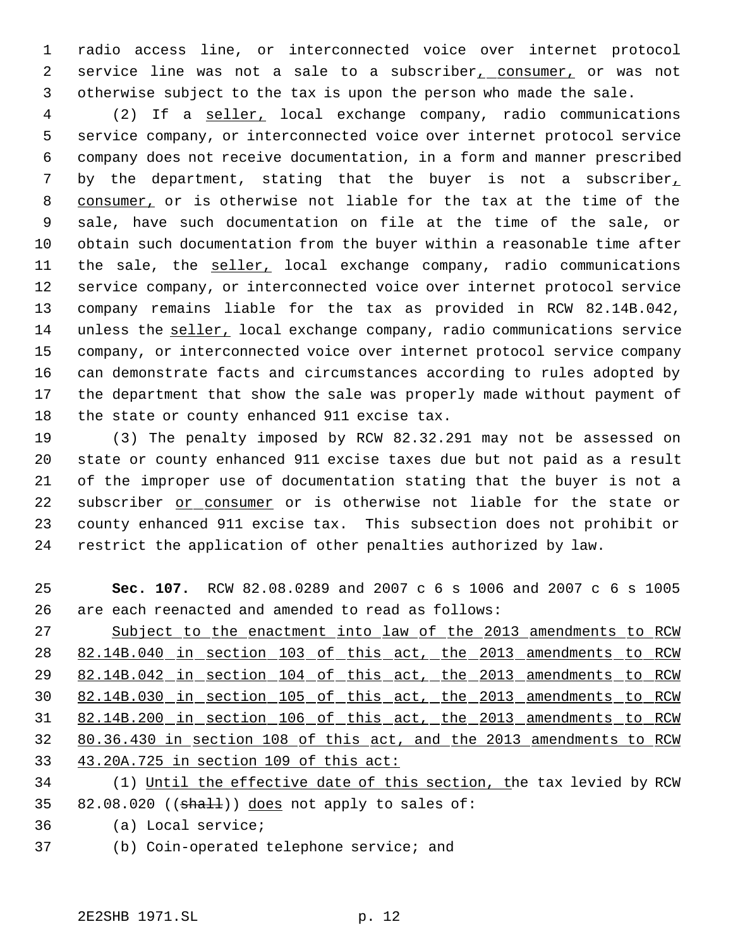radio access line, or interconnected voice over internet protocol 2 service line was not a sale to a subscriber<sub>1</sub> consumer, or was not otherwise subject to the tax is upon the person who made the sale.

 (2) If a seller, local exchange company, radio communications service company, or interconnected voice over internet protocol service company does not receive documentation, in a form and manner prescribed 7 by the department, stating that the buyer is not a subscriber, 8 consumer, or is otherwise not liable for the tax at the time of the sale, have such documentation on file at the time of the sale, or obtain such documentation from the buyer within a reasonable time after 11 the sale, the seller, local exchange company, radio communications service company, or interconnected voice over internet protocol service company remains liable for the tax as provided in RCW 82.14B.042, unless the seller, local exchange company, radio communications service company, or interconnected voice over internet protocol service company can demonstrate facts and circumstances according to rules adopted by the department that show the sale was properly made without payment of the state or county enhanced 911 excise tax.

 (3) The penalty imposed by RCW 82.32.291 may not be assessed on state or county enhanced 911 excise taxes due but not paid as a result of the improper use of documentation stating that the buyer is not a subscriber or consumer or is otherwise not liable for the state or county enhanced 911 excise tax. This subsection does not prohibit or restrict the application of other penalties authorized by law.

 **Sec. 107.** RCW 82.08.0289 and 2007 c 6 s 1006 and 2007 c 6 s 1005 are each reenacted and amended to read as follows: Subject to the enactment into law of the 2013 amendments to RCW

 82.14B.040 in section 103 of this act, the 2013 amendments to RCW 82.14B.042 in section 104 of this act, the 2013 amendments to RCW 82.14B.030 in section 105 of this act, the 2013 amendments to RCW 82.14B.200 in section 106 of this act, the 2013 amendments to RCW 80.36.430 in section 108 of this act, and the 2013 amendments to RCW 43.20A.725 in section 109 of this act:

 (1) Until the effective date of this section, the tax levied by RCW 35 82.08.020 ( $(\text{shall})$ ) does not apply to sales of:

- (a) Local service;
- (b) Coin-operated telephone service; and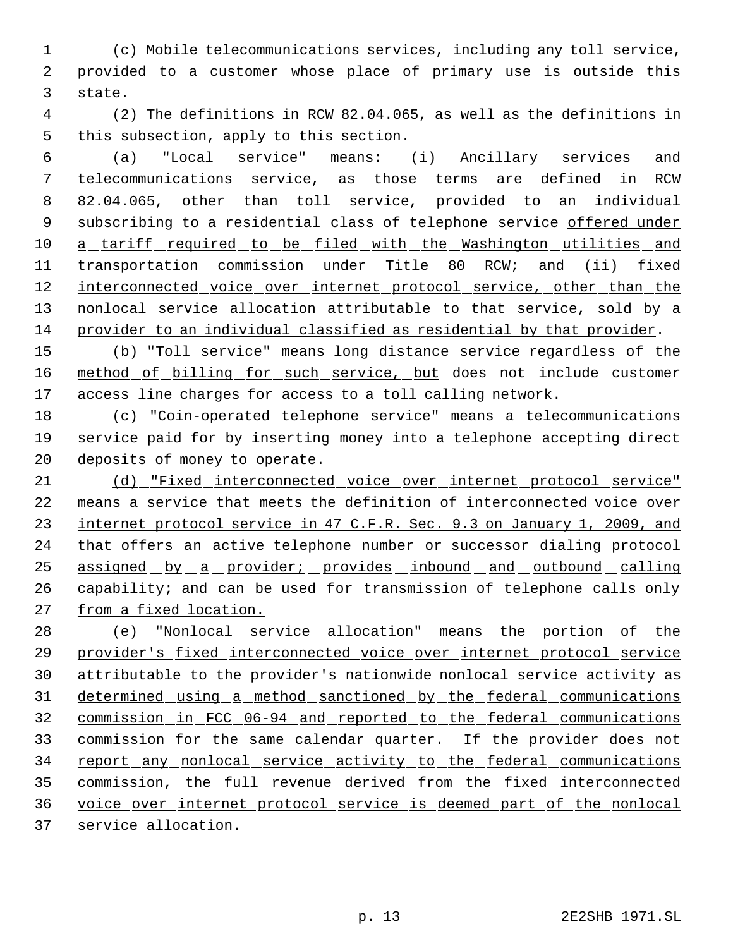(c) Mobile telecommunications services, including any toll service, provided to a customer whose place of primary use is outside this state.

 (2) The definitions in RCW 82.04.065, as well as the definitions in this subsection, apply to this section.

 (a) "Local service" means: (i) Ancillary services and telecommunications service, as those terms are defined in RCW 82.04.065, other than toll service, provided to an individual 9 subscribing to a residential class of telephone service offered under 10 a tariff required to be filed with the Washington utilities and 11 transportation commission under Title 80 RCW; and (ii) fixed 12 interconnected voice over internet protocol service, other than the 13 nonlocal service allocation attributable to that service, sold by a provider to an individual classified as residential by that provider.

15 (b) "Toll service" means long distance service regardless of the 16 method of billing for such service, but does not include customer access line charges for access to a toll calling network.

 (c) "Coin-operated telephone service" means a telecommunications service paid for by inserting money into a telephone accepting direct deposits of money to operate.

 (d) "Fixed interconnected voice over internet protocol service" means a service that meets the definition of interconnected voice over internet protocol service in 47 C.F.R. Sec. 9.3 on January 1, 2009, and 24 that offers an active telephone number or successor dialing protocol assigned by a provider; provides inbound and outbound calling 26 capability; and can be used for transmission of telephone calls only from a fixed location.

28 (e) "Nonlocal service allocation" means the portion of the provider's fixed interconnected voice over internet protocol service attributable to the provider's nationwide nonlocal service activity as determined using a method sanctioned by the federal communications commission in FCC 06-94 and reported to the federal communications commission for the same calendar quarter. If the provider does not 34 report any nonlocal service activity to the federal communications commission, the full revenue derived from the fixed interconnected voice over internet protocol service is deemed part of the nonlocal service allocation.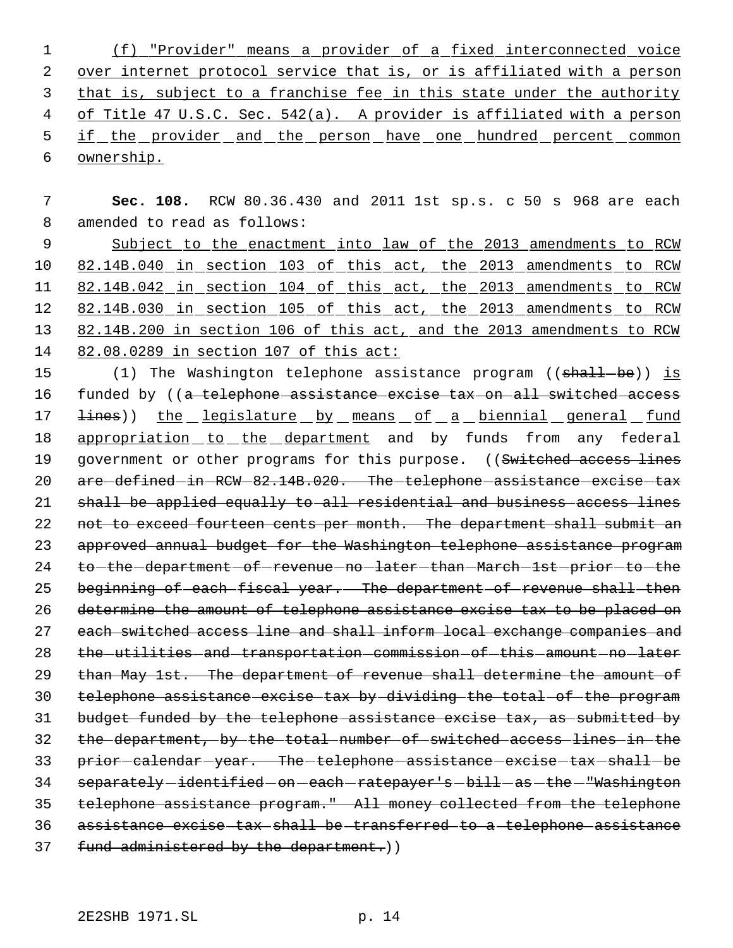1 (f) "Provider" means a provider of a fixed interconnected voice 2 over internet protocol service that is, or is affiliated with a person 3 that is, subject to a franchise fee in this state under the authority 4 of Title 47 U.S.C. Sec. 542(a). A provider is affiliated with a person 5 if the provider and the person have one hundred percent common 6 ownership.

 7 **Sec. 108.** RCW 80.36.430 and 2011 1st sp.s. c 50 s 968 are each 8 amended to read as follows: 9 Subject to the enactment into law of the 2013 amendments to RCW

 82.14B.040 in section 103 of this act, the 2013 amendments to RCW 11 82.14B.042 in section 104 of this act, the 2013 amendments to RCW 82.14B.030 in section 105 of this act, the 2013 amendments to RCW 82.14B.200 in section 106 of this act, and the 2013 amendments to RCW 82.08.0289 in section 107 of this act:

15 (1) The Washington telephone assistance program ((shall-be)) is 16 funded by ((a telephone assistance excise tax on all switched access 17 <del>lines</del>)) the legislature by means of a biennial general fund 18 appropriation to the department and by funds from any federal 19 government or other programs for this purpose. ((Switched access lines 20 are defined in RCW 82.14B.020. The telephone assistance excise tax 21 shall be applied equally to all residential and business access lines 22 not to exceed fourteen cents per month. The department shall submit an 23 approved annual budget for the Washington telephone assistance program 24 to -the -department -of -revenue -no -later -than -March -1st -prior -to -the 25 beginning of each fiscal year. The department of revenue shall then 26 determine the amount of telephone assistance excise tax to be placed on 27 each switched access line and shall inform local exchange companies and 28 the utilities and transportation commission of this amount no later 29 than May 1st. The department of revenue shall determine the amount of 30 telephone assistance excise tax by dividing the total of the program 31 budget funded by the telephone assistance excise tax, as submitted by 32 the department, by the total number of switched access lines in the 33 prior-calendar-year. The-telephone-assistance-excise-tax-shall-be 34 separately-identified-on-each-ratepayer's-bill-as-the-"Washington 35 telephone assistance program." All money collected from the telephone 36 assistance excise tax shall be transferred to a telephone assistance 37 fund administered by the department.))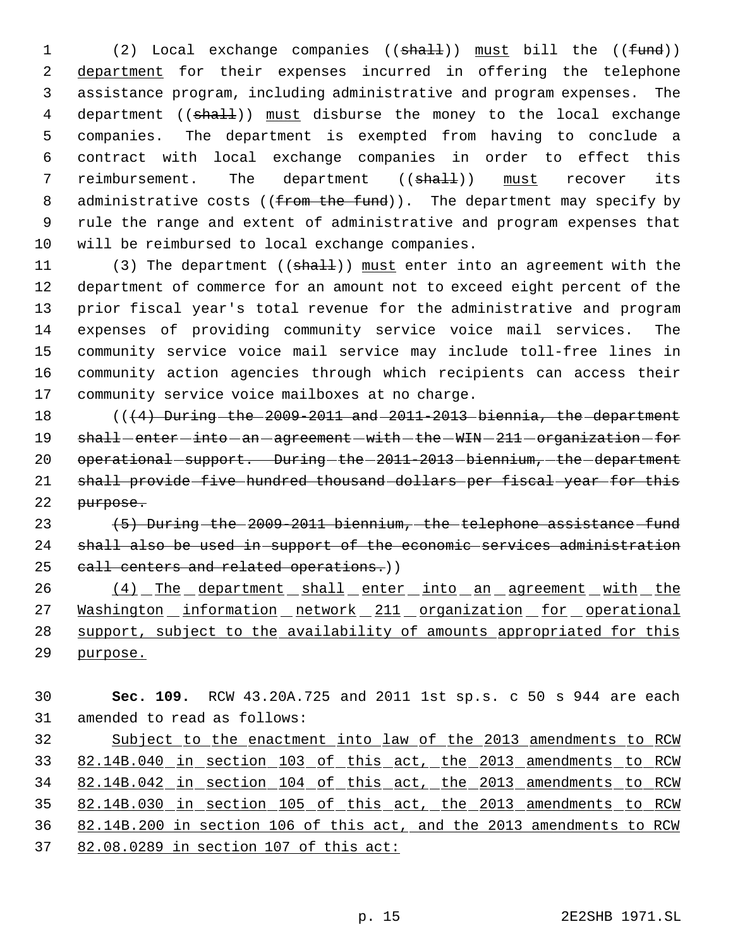1 (2) Local exchange companies ((shall)) must bill the ((fund)) department for their expenses incurred in offering the telephone assistance program, including administrative and program expenses. The 4 department ((shall)) must disburse the money to the local exchange companies. The department is exempted from having to conclude a contract with local exchange companies in order to effect this 7 reimbursement. The department ((shall)) must recover its 8 administrative costs (( $f$ rom the fund)). The department may specify by rule the range and extent of administrative and program expenses that will be reimbursed to local exchange companies.

11 (3) The department ((shall)) must enter into an agreement with the department of commerce for an amount not to exceed eight percent of the prior fiscal year's total revenue for the administrative and program expenses of providing community service voice mail services. The community service voice mail service may include toll-free lines in community action agencies through which recipients can access their community service voice mailboxes at no charge.

18 (((4) During the 2009-2011 and 2011-2013 biennia, the department 19 shall-enter-into-an-agreement-with-the-WIN-211-organization-for 20 operational support. During the 2011-2013 biennium, the department shall provide five hundred thousand dollars per fiscal year for this purpose.

23 (5) During the 2009-2011 biennium, the telephone assistance fund shall also be used in support of the economic services administration 25 call centers and related operations.))

26 (4) The department shall enter into an agreement with the 27 Washington information network 211 organization for operational 28 support, subject to the availability of amounts appropriated for this purpose.

 **Sec. 109.** RCW 43.20A.725 and 2011 1st sp.s. c 50 s 944 are each amended to read as follows: Subject to the enactment into law of the 2013 amendments to RCW 82.14B.040 in section 103 of this act, the 2013 amendments to RCW 82.14B.042 in section 104 of this act, the 2013 amendments to RCW 82.14B.030 in section 105 of this act, the 2013 amendments to RCW 82.14B.200 in section 106 of this act, and the 2013 amendments to RCW 82.08.0289 in section 107 of this act: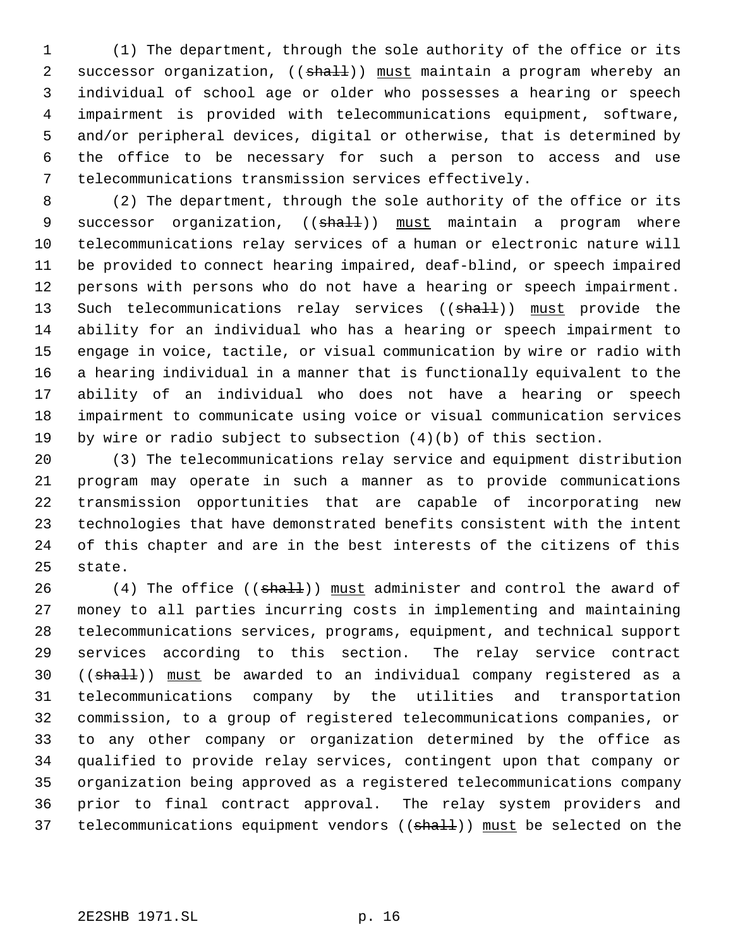(1) The department, through the sole authority of the office or its 2 successor organization, ((shall)) must maintain a program whereby an individual of school age or older who possesses a hearing or speech impairment is provided with telecommunications equipment, software, and/or peripheral devices, digital or otherwise, that is determined by the office to be necessary for such a person to access and use telecommunications transmission services effectively.

 (2) The department, through the sole authority of the office or its 9 successor organization, ((shall)) must maintain a program where telecommunications relay services of a human or electronic nature will be provided to connect hearing impaired, deaf-blind, or speech impaired persons with persons who do not have a hearing or speech impairment. 13 Such telecommunications relay services ((shall)) must provide the ability for an individual who has a hearing or speech impairment to engage in voice, tactile, or visual communication by wire or radio with a hearing individual in a manner that is functionally equivalent to the ability of an individual who does not have a hearing or speech impairment to communicate using voice or visual communication services by wire or radio subject to subsection (4)(b) of this section.

 (3) The telecommunications relay service and equipment distribution program may operate in such a manner as to provide communications transmission opportunities that are capable of incorporating new technologies that have demonstrated benefits consistent with the intent of this chapter and are in the best interests of the citizens of this state.

26 (4) The office ((shall)) must administer and control the award of money to all parties incurring costs in implementing and maintaining telecommunications services, programs, equipment, and technical support services according to this section. The relay service contract 30 ((shall)) must be awarded to an individual company registered as a telecommunications company by the utilities and transportation commission, to a group of registered telecommunications companies, or to any other company or organization determined by the office as qualified to provide relay services, contingent upon that company or organization being approved as a registered telecommunications company prior to final contract approval. The relay system providers and 37 telecommunications equipment vendors ((shall)) must be selected on the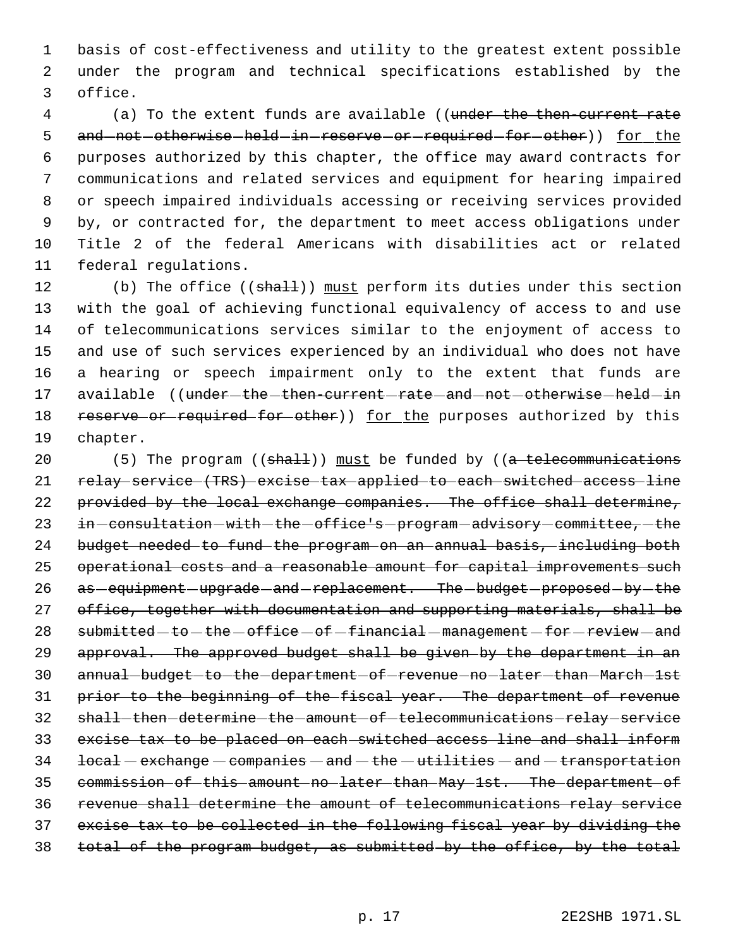basis of cost-effectiveness and utility to the greatest extent possible under the program and technical specifications established by the office.

4 (a) To the extent funds are available ((under the then-current rate 5 and not otherwise held in reserve or required for other)) for the purposes authorized by this chapter, the office may award contracts for communications and related services and equipment for hearing impaired or speech impaired individuals accessing or receiving services provided by, or contracted for, the department to meet access obligations under Title 2 of the federal Americans with disabilities act or related federal regulations.

12 (b) The office ((shall)) must perform its duties under this section with the goal of achieving functional equivalency of access to and use of telecommunications services similar to the enjoyment of access to and use of such services experienced by an individual who does not have a hearing or speech impairment only to the extent that funds are 17 available ((under-the-then-current-rate-and-not-otherwise-held-in 18 reserve or required for other)) for the purposes authorized by this chapter.

20 (5) The program  $((shall))$  must be funded by  $((a *telecommunications*)$  relay service (TRS) excise tax applied to each switched access line 22 provided by the local exchange companies. The office shall determine, 23 in-consultation-with-the-office's-program-advisory-committee,-the budget needed to fund the program on an annual basis, including both 25 operational costs and a reasonable amount for capital improvements such 26 as -equipment -upgrade -and -replacement. The -budget -proposed -by -the 27 office, together with documentation and supporting materials, shall be submitted - to - the - office - of - financial - management - for - review - and 29 approval. The approved budget shall be given by the department in an 30 annual budget to the department of revenue no later than March 1st prior to the beginning of the fiscal year. The department of revenue 32 shall-then determine the amount of telecommunications relay service excise tax to be placed on each switched access line and shall inform local - exchange - companies - and - the - utilities - and - transportation commission of this amount no later than May 1st. The department of revenue shall determine the amount of telecommunications relay service excise tax to be collected in the following fiscal year by dividing the total of the program budget, as submitted by the office, by the total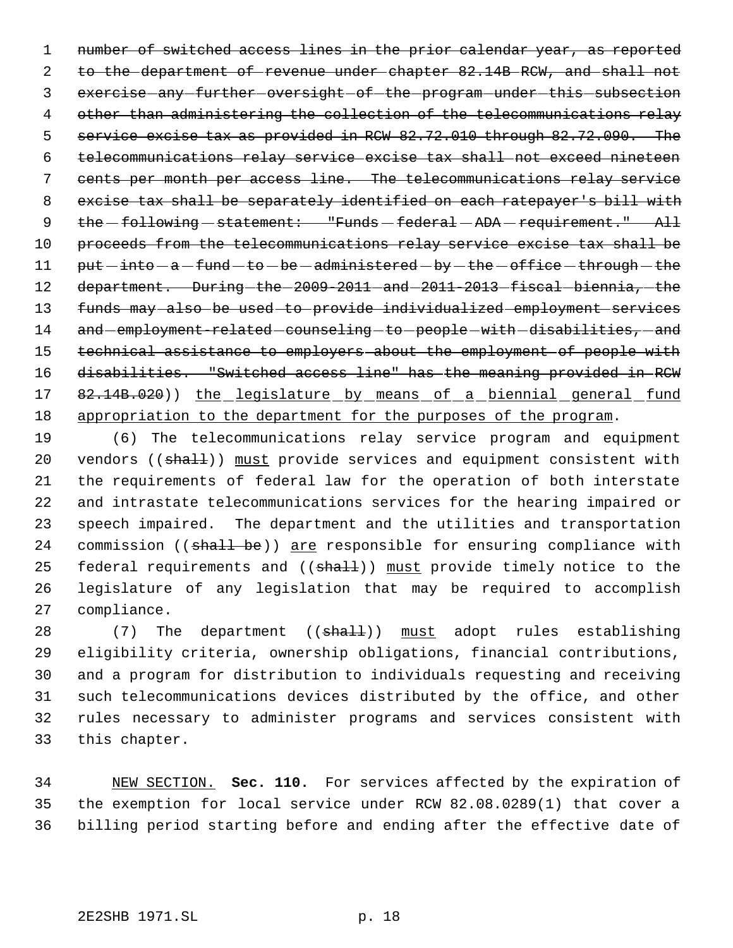1 number of switched access lines in the prior calendar year, as reported to the department of revenue under chapter 82.14B RCW, and shall not 3 exercise any further oversight of the program under this subsection 4 other than administering the collection of the telecommunications relay 5 service excise tax as provided in RCW 82.72.010 through 82.72.090. The telecommunications relay service excise tax shall not exceed nineteen cents per month per access line. The telecommunications relay service excise tax shall be separately identified on each ratepayer's bill with 9 the -following - statement: "Funds -federal - ADA - requirement." All 10 proceeds from the telecommunications relay service excise tax shall be put  $-i$ nto  $-a$   $-$  fund  $-$  to  $-$  be  $-$  administered  $-$  by  $-$  the  $-$  office  $-$  through  $-$  the 12 department. During-the-2009-2011-and-2011-2013-fiscal-biennia,-the funds may also be used to provide individualized employment services 14 and employment-related counseling to people with disabilities, and technical assistance to employers about the employment of people with disabilities. "Switched access line" has the meaning provided in RCW 17 82.14B.020)) the legislature by means of a biennial general fund appropriation to the department for the purposes of the program.

 (6) The telecommunications relay service program and equipment 20 vendors ((shall)) must provide services and equipment consistent with the requirements of federal law for the operation of both interstate and intrastate telecommunications services for the hearing impaired or speech impaired. The department and the utilities and transportation 24 commission ((shall be)) are responsible for ensuring compliance with 25 federal requirements and ((shall)) must provide timely notice to the legislature of any legislation that may be required to accomplish compliance.

28 (7) The department ((shall)) must adopt rules establishing eligibility criteria, ownership obligations, financial contributions, and a program for distribution to individuals requesting and receiving such telecommunications devices distributed by the office, and other rules necessary to administer programs and services consistent with this chapter.

 NEW SECTION. **Sec. 110.** For services affected by the expiration of the exemption for local service under RCW 82.08.0289(1) that cover a billing period starting before and ending after the effective date of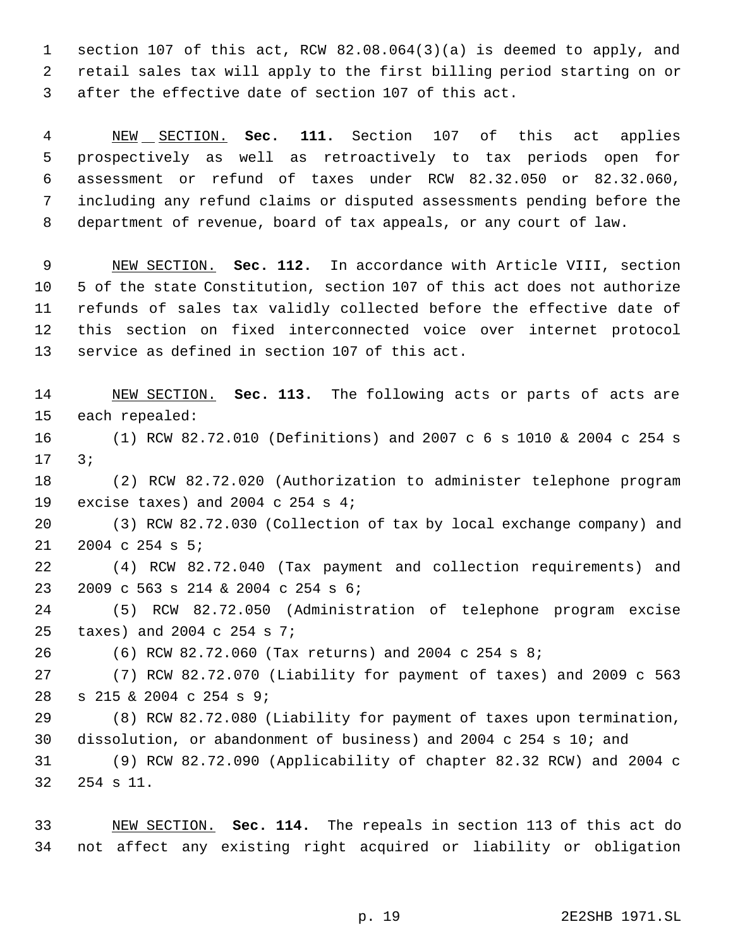section 107 of this act, RCW 82.08.064(3)(a) is deemed to apply, and retail sales tax will apply to the first billing period starting on or after the effective date of section 107 of this act.

 NEW SECTION. **Sec. 111.** Section 107 of this act applies prospectively as well as retroactively to tax periods open for assessment or refund of taxes under RCW 82.32.050 or 82.32.060, including any refund claims or disputed assessments pending before the department of revenue, board of tax appeals, or any court of law.

 NEW SECTION. **Sec. 112.** In accordance with Article VIII, section 5 of the state Constitution, section 107 of this act does not authorize refunds of sales tax validly collected before the effective date of this section on fixed interconnected voice over internet protocol service as defined in section 107 of this act.

 NEW SECTION. **Sec. 113.** The following acts or parts of acts are each repealed: (1) RCW 82.72.010 (Definitions) and 2007 c 6 s 1010 & 2004 c 254 s 3;

 (2) RCW 82.72.020 (Authorization to administer telephone program excise taxes) and 2004 c 254 s 4;

 (3) RCW 82.72.030 (Collection of tax by local exchange company) and 2004 c 254 s 5;

 (4) RCW 82.72.040 (Tax payment and collection requirements) and 2009 c 563 s 214 & 2004 c 254 s 6;

 (5) RCW 82.72.050 (Administration of telephone program excise taxes) and 2004 c 254 s 7;

(6) RCW 82.72.060 (Tax returns) and 2004 c 254 s 8;

 (7) RCW 82.72.070 (Liability for payment of taxes) and 2009 c 563 s 215 & 2004 c 254 s 9;

 (8) RCW 82.72.080 (Liability for payment of taxes upon termination, dissolution, or abandonment of business) and 2004 c 254 s 10; and

 (9) RCW 82.72.090 (Applicability of chapter 82.32 RCW) and 2004 c 254 s 11.

 NEW SECTION. **Sec. 114.** The repeals in section 113 of this act do not affect any existing right acquired or liability or obligation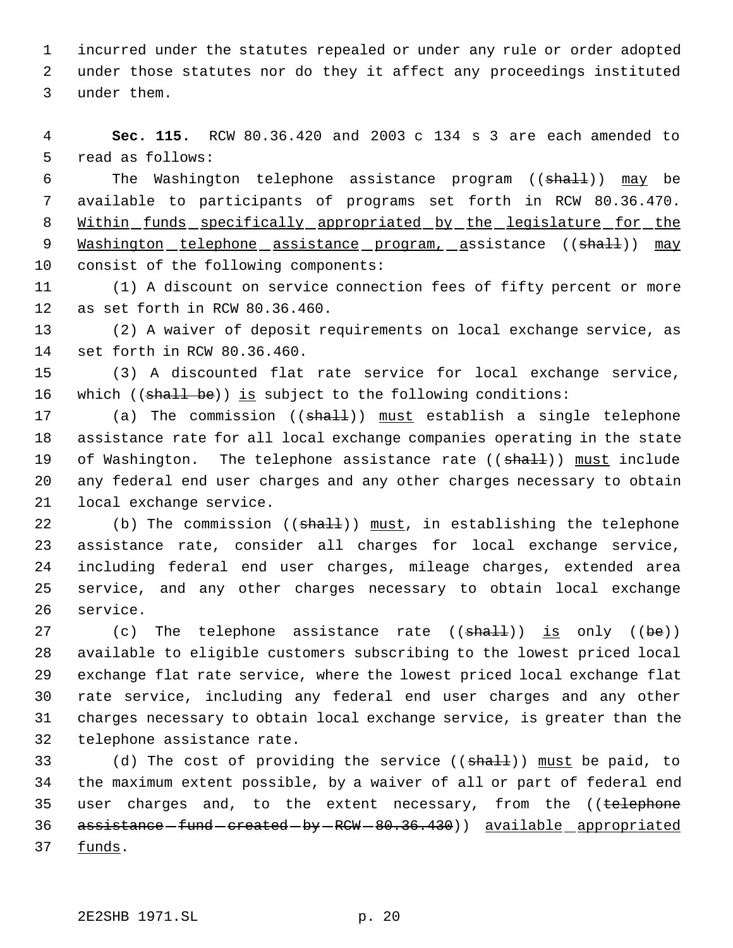incurred under the statutes repealed or under any rule or order adopted under those statutes nor do they it affect any proceedings instituted under them.

 **Sec. 115.** RCW 80.36.420 and 2003 c 134 s 3 are each amended to read as follows:

6 The Washington telephone assistance program (( $\text{shall}$ )) may be available to participants of programs set forth in RCW 80.36.470. 8 Within funds specifically appropriated by the legislature for the 9 Washington telephone assistance program, assistance ((shall)) may consist of the following components:

 (1) A discount on service connection fees of fifty percent or more as set forth in RCW 80.36.460.

 (2) A waiver of deposit requirements on local exchange service, as set forth in RCW 80.36.460.

 (3) A discounted flat rate service for local exchange service, 16 which ((shall be)) is subject to the following conditions:

17 (a) The commission ((shall)) must establish a single telephone assistance rate for all local exchange companies operating in the state 19 of Washington. The telephone assistance rate ((shall)) must include any federal end user charges and any other charges necessary to obtain local exchange service.

22 (b) The commission  $((shath))$  must, in establishing the telephone assistance rate, consider all charges for local exchange service, including federal end user charges, mileage charges, extended area service, and any other charges necessary to obtain local exchange service.

27 (c) The telephone assistance rate  $((shath) )$  is only  $((be))$  available to eligible customers subscribing to the lowest priced local exchange flat rate service, where the lowest priced local exchange flat rate service, including any federal end user charges and any other charges necessary to obtain local exchange service, is greater than the telephone assistance rate.

33 (d) The cost of providing the service ((shall)) must be paid, to the maximum extent possible, by a waiver of all or part of federal end 35 user charges and, to the extent necessary, from the ((telephone 36 assistance - fund - created - by - RCW - 80.36.430) available appropriated funds.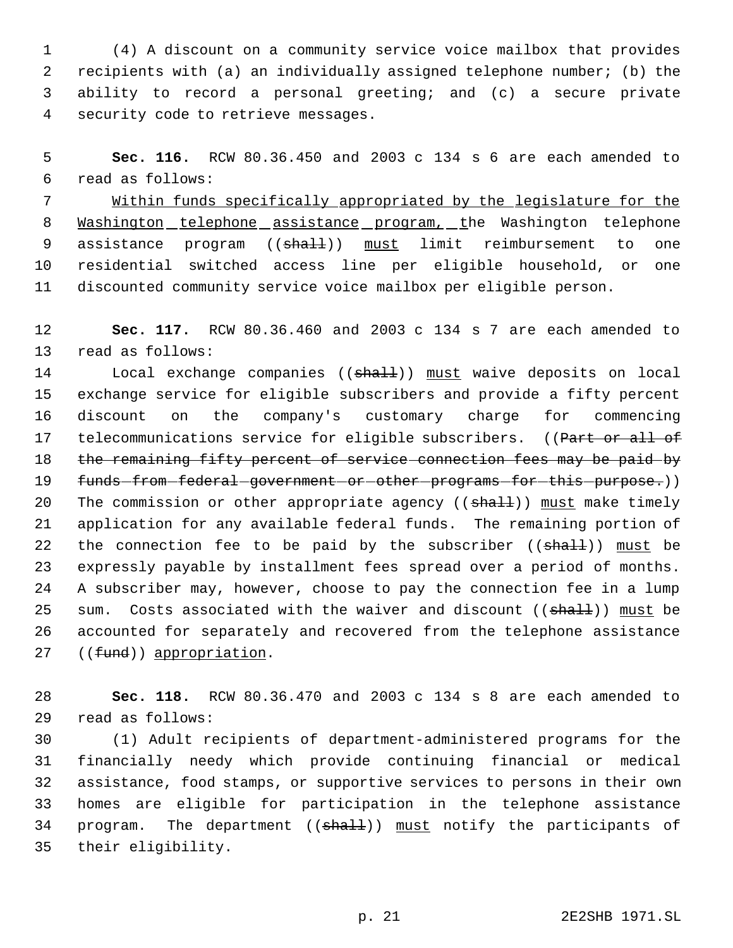(4) A discount on a community service voice mailbox that provides recipients with (a) an individually assigned telephone number; (b) the ability to record a personal greeting; and (c) a secure private security code to retrieve messages.

 **Sec. 116.** RCW 80.36.450 and 2003 c 134 s 6 are each amended to read as follows:

 Within funds specifically appropriated by the legislature for the 8 Washington telephone assistance program, the Washington telephone 9 assistance program ((shall)) must limit reimbursement to one residential switched access line per eligible household, or one discounted community service voice mailbox per eligible person.

 **Sec. 117.** RCW 80.36.460 and 2003 c 134 s 7 are each amended to read as follows:

14 Local exchange companies ((shall)) must waive deposits on local exchange service for eligible subscribers and provide a fifty percent discount on the company's customary charge for commencing 17 telecommunications service for eligible subscribers. ((Part or all of 18 the remaining fifty percent of service connection fees may be paid by 19 funds-from-federal-government-or-other-programs-for-this-purpose.)) 20 The commission or other appropriate agency ((shall)) must make timely application for any available federal funds. The remaining portion of 22 the connection fee to be paid by the subscriber  $((shall))$  must be expressly payable by installment fees spread over a period of months. A subscriber may, however, choose to pay the connection fee in a lump 25 sum. Costs associated with the waiver and discount  $((\text{sha1.}) )$  must be accounted for separately and recovered from the telephone assistance 27 ((fund)) appropriation.

 **Sec. 118.** RCW 80.36.470 and 2003 c 134 s 8 are each amended to read as follows:

 (1) Adult recipients of department-administered programs for the financially needy which provide continuing financial or medical assistance, food stamps, or supportive services to persons in their own homes are eligible for participation in the telephone assistance 34 program. The department ((shall)) must notify the participants of their eligibility.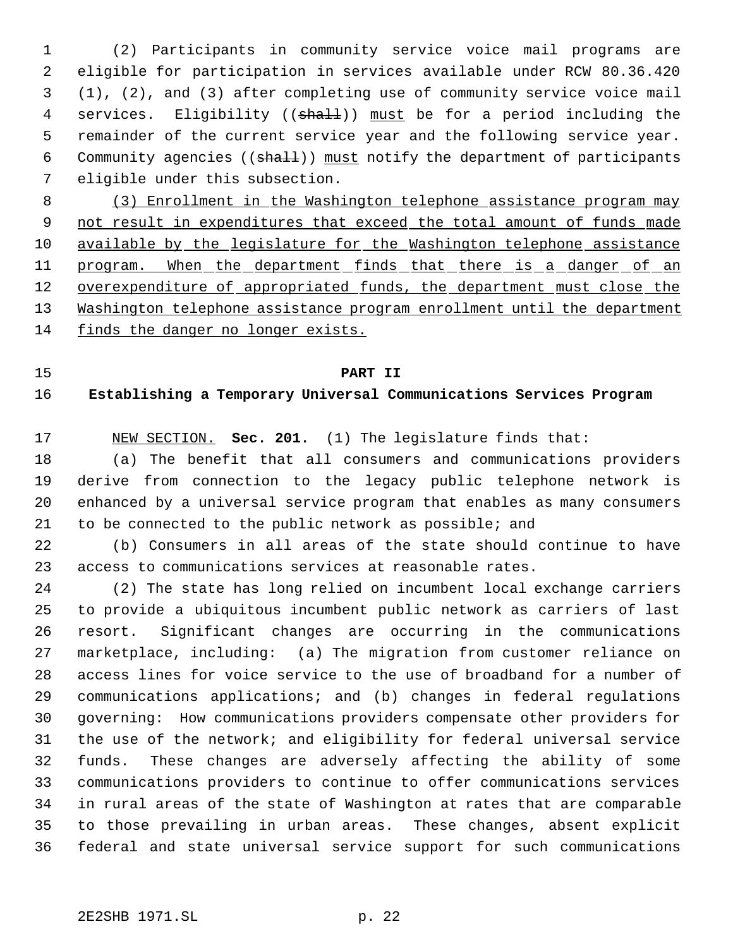(2) Participants in community service voice mail programs are eligible for participation in services available under RCW 80.36.420 (1), (2), and (3) after completing use of community service voice mail 4 services. Eligibility ((shall)) must be for a period including the remainder of the current service year and the following service year. 6 Community agencies ((shall)) must notify the department of participants eligible under this subsection.

 (3) Enrollment in the Washington telephone assistance program may 9 not result in expenditures that exceed the total amount of funds made 10 available by the legislature for the Washington telephone assistance 11 program. When the department finds that there is a danger of an 12 overexpenditure of appropriated funds, the department must close the Washington telephone assistance program enrollment until the department finds the danger no longer exists.

### **PART II**

# **Establishing a Temporary Universal Communications Services Program**

NEW SECTION. **Sec. 201.** (1) The legislature finds that:

 (a) The benefit that all consumers and communications providers derive from connection to the legacy public telephone network is enhanced by a universal service program that enables as many consumers to be connected to the public network as possible; and

 (b) Consumers in all areas of the state should continue to have access to communications services at reasonable rates.

 (2) The state has long relied on incumbent local exchange carriers to provide a ubiquitous incumbent public network as carriers of last resort. Significant changes are occurring in the communications marketplace, including: (a) The migration from customer reliance on access lines for voice service to the use of broadband for a number of communications applications; and (b) changes in federal regulations governing: How communications providers compensate other providers for the use of the network; and eligibility for federal universal service funds. These changes are adversely affecting the ability of some communications providers to continue to offer communications services in rural areas of the state of Washington at rates that are comparable to those prevailing in urban areas. These changes, absent explicit federal and state universal service support for such communications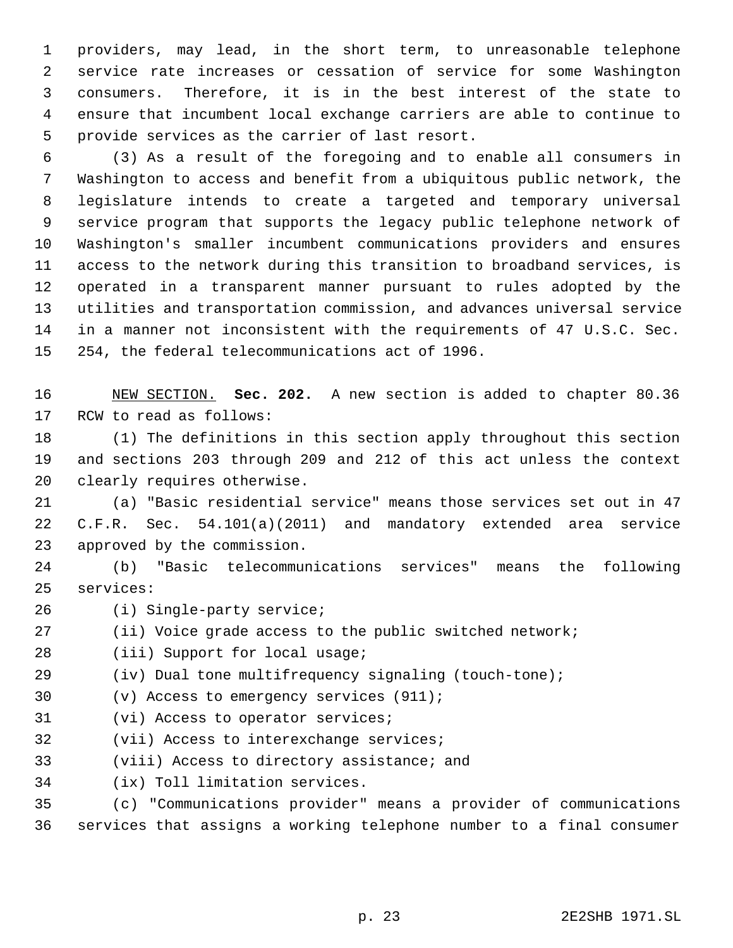providers, may lead, in the short term, to unreasonable telephone service rate increases or cessation of service for some Washington consumers. Therefore, it is in the best interest of the state to ensure that incumbent local exchange carriers are able to continue to provide services as the carrier of last resort.

 (3) As a result of the foregoing and to enable all consumers in Washington to access and benefit from a ubiquitous public network, the legislature intends to create a targeted and temporary universal service program that supports the legacy public telephone network of Washington's smaller incumbent communications providers and ensures access to the network during this transition to broadband services, is operated in a transparent manner pursuant to rules adopted by the utilities and transportation commission, and advances universal service in a manner not inconsistent with the requirements of 47 U.S.C. Sec. 254, the federal telecommunications act of 1996.

 NEW SECTION. **Sec. 202.** A new section is added to chapter 80.36 RCW to read as follows:

 (1) The definitions in this section apply throughout this section and sections 203 through 209 and 212 of this act unless the context clearly requires otherwise.

 (a) "Basic residential service" means those services set out in 47 C.F.R. Sec. 54.101(a)(2011) and mandatory extended area service approved by the commission.

 (b) "Basic telecommunications services" means the following services:

- (i) Single-party service;
- (ii) Voice grade access to the public switched network;

28 (iii) Support for local usage;

(iv) Dual tone multifrequency signaling (touch-tone);

(v) Access to emergency services (911);

- (vi) Access to operator services;
- (vii) Access to interexchange services;
- (viii) Access to directory assistance; and
- (ix) Toll limitation services.

 (c) "Communications provider" means a provider of communications services that assigns a working telephone number to a final consumer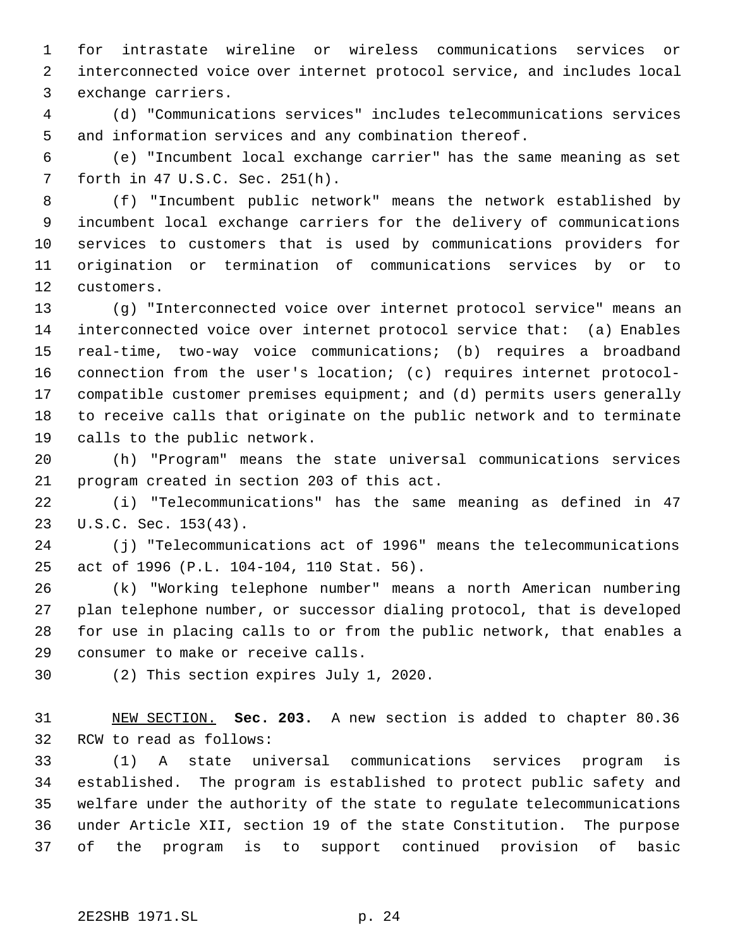for intrastate wireline or wireless communications services or interconnected voice over internet protocol service, and includes local exchange carriers.

 (d) "Communications services" includes telecommunications services and information services and any combination thereof.

 (e) "Incumbent local exchange carrier" has the same meaning as set forth in 47 U.S.C. Sec. 251(h).

 (f) "Incumbent public network" means the network established by incumbent local exchange carriers for the delivery of communications services to customers that is used by communications providers for origination or termination of communications services by or to customers.

 (g) "Interconnected voice over internet protocol service" means an interconnected voice over internet protocol service that: (a) Enables real-time, two-way voice communications; (b) requires a broadband connection from the user's location; (c) requires internet protocol- compatible customer premises equipment; and (d) permits users generally to receive calls that originate on the public network and to terminate calls to the public network.

 (h) "Program" means the state universal communications services program created in section 203 of this act.

 (i) "Telecommunications" has the same meaning as defined in 47 U.S.C. Sec. 153(43).

 (j) "Telecommunications act of 1996" means the telecommunications act of 1996 (P.L. 104-104, 110 Stat. 56).

 (k) "Working telephone number" means a north American numbering plan telephone number, or successor dialing protocol, that is developed for use in placing calls to or from the public network, that enables a consumer to make or receive calls.

(2) This section expires July 1, 2020.

 NEW SECTION. **Sec. 203.** A new section is added to chapter 80.36 RCW to read as follows:

 (1) A state universal communications services program is established. The program is established to protect public safety and welfare under the authority of the state to regulate telecommunications under Article XII, section 19 of the state Constitution. The purpose of the program is to support continued provision of basic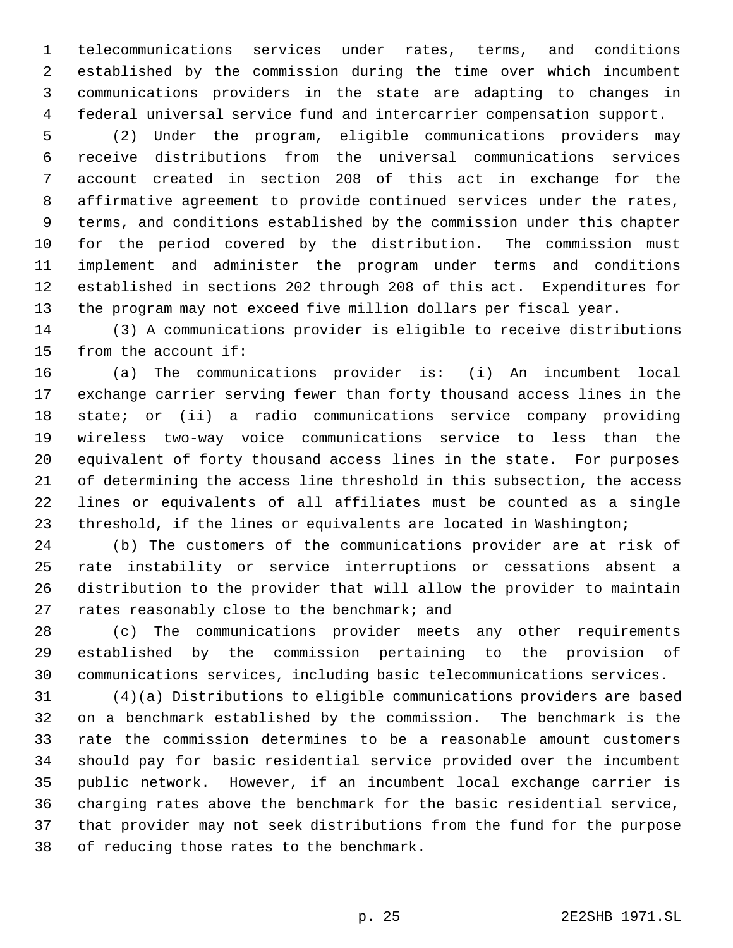telecommunications services under rates, terms, and conditions established by the commission during the time over which incumbent communications providers in the state are adapting to changes in federal universal service fund and intercarrier compensation support.

 (2) Under the program, eligible communications providers may receive distributions from the universal communications services account created in section 208 of this act in exchange for the affirmative agreement to provide continued services under the rates, terms, and conditions established by the commission under this chapter for the period covered by the distribution. The commission must implement and administer the program under terms and conditions established in sections 202 through 208 of this act. Expenditures for the program may not exceed five million dollars per fiscal year.

 (3) A communications provider is eligible to receive distributions from the account if:

 (a) The communications provider is: (i) An incumbent local exchange carrier serving fewer than forty thousand access lines in the state; or (ii) a radio communications service company providing wireless two-way voice communications service to less than the equivalent of forty thousand access lines in the state. For purposes of determining the access line threshold in this subsection, the access lines or equivalents of all affiliates must be counted as a single threshold, if the lines or equivalents are located in Washington;

 (b) The customers of the communications provider are at risk of rate instability or service interruptions or cessations absent a distribution to the provider that will allow the provider to maintain 27 rates reasonably close to the benchmark; and

 (c) The communications provider meets any other requirements established by the commission pertaining to the provision of communications services, including basic telecommunications services.

 (4)(a) Distributions to eligible communications providers are based on a benchmark established by the commission. The benchmark is the rate the commission determines to be a reasonable amount customers should pay for basic residential service provided over the incumbent public network. However, if an incumbent local exchange carrier is charging rates above the benchmark for the basic residential service, that provider may not seek distributions from the fund for the purpose of reducing those rates to the benchmark.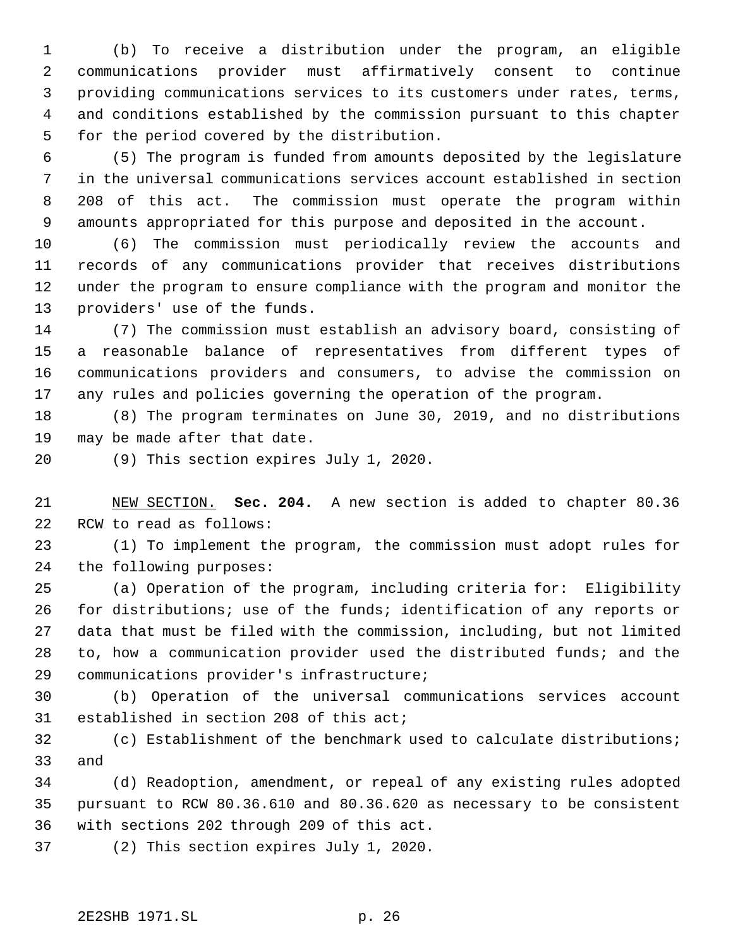(b) To receive a distribution under the program, an eligible communications provider must affirmatively consent to continue providing communications services to its customers under rates, terms, and conditions established by the commission pursuant to this chapter for the period covered by the distribution.

 (5) The program is funded from amounts deposited by the legislature in the universal communications services account established in section 208 of this act. The commission must operate the program within amounts appropriated for this purpose and deposited in the account.

 (6) The commission must periodically review the accounts and records of any communications provider that receives distributions under the program to ensure compliance with the program and monitor the providers' use of the funds.

 (7) The commission must establish an advisory board, consisting of a reasonable balance of representatives from different types of communications providers and consumers, to advise the commission on any rules and policies governing the operation of the program.

 (8) The program terminates on June 30, 2019, and no distributions may be made after that date.

(9) This section expires July 1, 2020.

 NEW SECTION. **Sec. 204.** A new section is added to chapter 80.36 RCW to read as follows:

 (1) To implement the program, the commission must adopt rules for the following purposes:

 (a) Operation of the program, including criteria for: Eligibility for distributions; use of the funds; identification of any reports or data that must be filed with the commission, including, but not limited to, how a communication provider used the distributed funds; and the communications provider's infrastructure;

 (b) Operation of the universal communications services account established in section 208 of this act;

 (c) Establishment of the benchmark used to calculate distributions; and

 (d) Readoption, amendment, or repeal of any existing rules adopted pursuant to RCW 80.36.610 and 80.36.620 as necessary to be consistent with sections 202 through 209 of this act.

(2) This section expires July 1, 2020.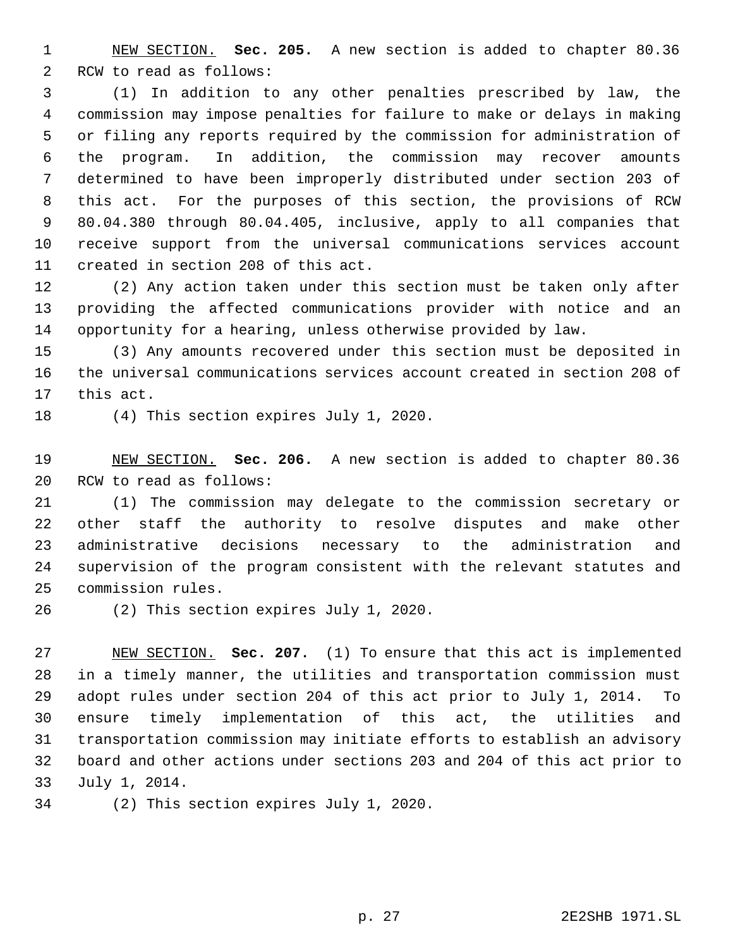NEW SECTION. **Sec. 205.** A new section is added to chapter 80.36 RCW to read as follows:

 (1) In addition to any other penalties prescribed by law, the commission may impose penalties for failure to make or delays in making or filing any reports required by the commission for administration of the program. In addition, the commission may recover amounts determined to have been improperly distributed under section 203 of this act. For the purposes of this section, the provisions of RCW 80.04.380 through 80.04.405, inclusive, apply to all companies that receive support from the universal communications services account created in section 208 of this act.

 (2) Any action taken under this section must be taken only after providing the affected communications provider with notice and an opportunity for a hearing, unless otherwise provided by law.

 (3) Any amounts recovered under this section must be deposited in the universal communications services account created in section 208 of this act.

(4) This section expires July 1, 2020.

 NEW SECTION. **Sec. 206.** A new section is added to chapter 80.36 RCW to read as follows:

 (1) The commission may delegate to the commission secretary or other staff the authority to resolve disputes and make other administrative decisions necessary to the administration and supervision of the program consistent with the relevant statutes and commission rules.

(2) This section expires July 1, 2020.

 NEW SECTION. **Sec. 207.** (1) To ensure that this act is implemented in a timely manner, the utilities and transportation commission must adopt rules under section 204 of this act prior to July 1, 2014. To ensure timely implementation of this act, the utilities and transportation commission may initiate efforts to establish an advisory board and other actions under sections 203 and 204 of this act prior to July 1, 2014.

(2) This section expires July 1, 2020.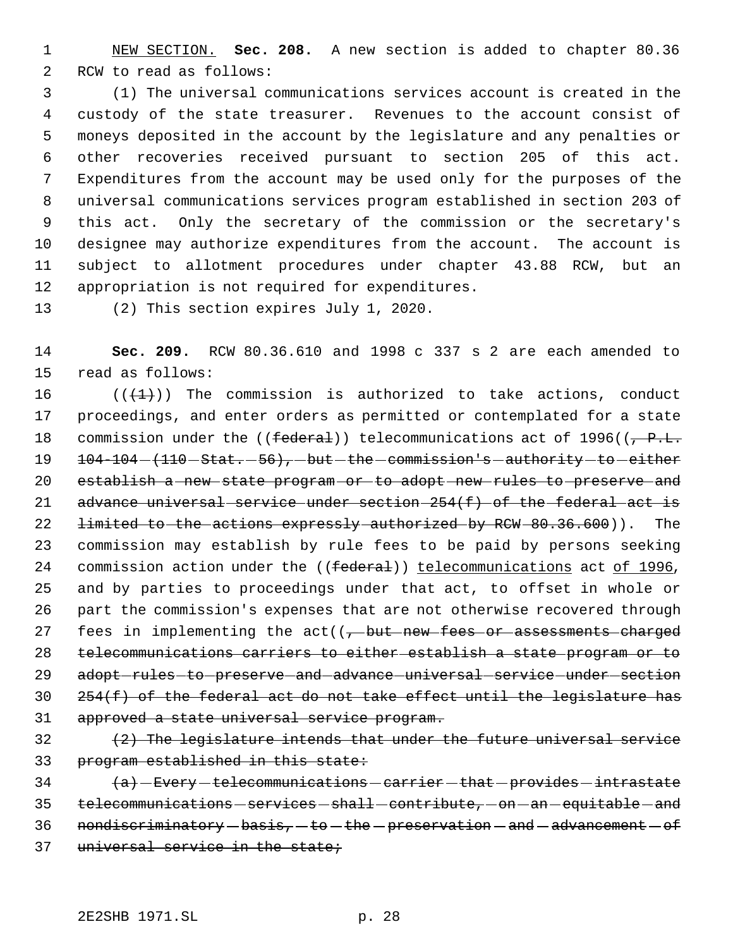NEW SECTION. **Sec. 208.** A new section is added to chapter 80.36 RCW to read as follows:

 (1) The universal communications services account is created in the custody of the state treasurer. Revenues to the account consist of moneys deposited in the account by the legislature and any penalties or other recoveries received pursuant to section 205 of this act. Expenditures from the account may be used only for the purposes of the universal communications services program established in section 203 of this act. Only the secretary of the commission or the secretary's designee may authorize expenditures from the account. The account is subject to allotment procedures under chapter 43.88 RCW, but an appropriation is not required for expenditures.

(2) This section expires July 1, 2020.

 **Sec. 209.** RCW 80.36.610 and 1998 c 337 s 2 are each amended to read as follows:

 $((+1))$  The commission is authorized to take actions, conduct proceedings, and enter orders as permitted or contemplated for a state 18 commission under the (( $f$ ederal)) telecommunications act of 1996( $(-P.L.)$   $104-104-(110 - \text{Stat.} - 56)$ ,  $-\text{but}-\text{the}-\text{commission's}-\text{authority}-\text{to}-\text{either}$  establish a new state program or to adopt new rules to preserve and 21 advance universal service under section  $254(f)$  of the federal act is 22 <del>limited to the actions expressly authorized by RCW 80.36.600</del>)). The commission may establish by rule fees to be paid by persons seeking 24 commission action under the ((federal)) telecommunications act of 1996, and by parties to proceedings under that act, to offset in whole or part the commission's expenses that are not otherwise recovered through 27 fees in implementing the  $act((, -but-new-fees-or-assessments-charged$  telecommunications carriers to either establish a state program or to 29 adopt-rules-to-preserve-and-advance-universal-service-under-section  $254(f)$  of the federal act do not take effect until the legislature has approved a state universal service program.

 $(2)$  The legislature intends that under the future universal service 33 program established in this state:

  $\leftarrow$   $\leftarrow$  Every  $-$  telecommunications  $-$  carrier  $-$  that  $-$  provides  $-$  intrastate 35 telecommunications - services - shall - contribute, - on - an - equitable - and nondiscriminatory  $-basis$ ,  $t_0 - th$ e preservation  $-$  and  $-adv$  and  $-cf$ universal service in the state;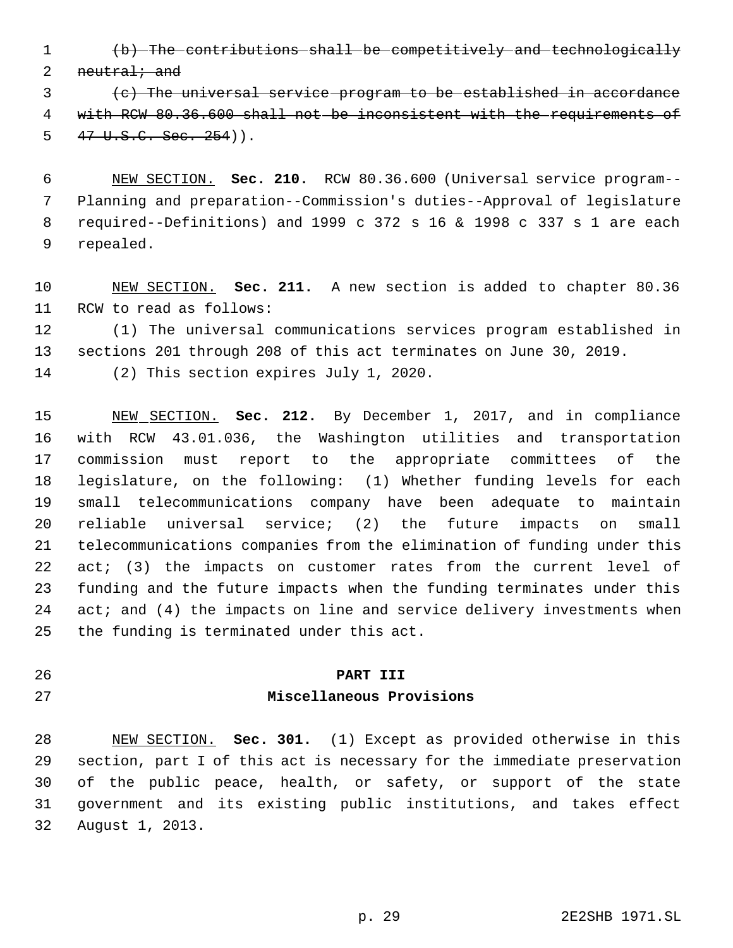(b) The contributions shall be competitively and technologically 2 neutral; and

 (c) The universal service program to be established in accordance with RCW 80.36.600 shall not be inconsistent with the requirements of  $5 \frac{47 \text{ U.S.C. Sec. } 254)}$ .

 NEW SECTION. **Sec. 210.** RCW 80.36.600 (Universal service program-- Planning and preparation--Commission's duties--Approval of legislature required--Definitions) and 1999 c 372 s 16 & 1998 c 337 s 1 are each repealed.

 NEW SECTION. **Sec. 211.** A new section is added to chapter 80.36 RCW to read as follows:

 (1) The universal communications services program established in sections 201 through 208 of this act terminates on June 30, 2019.

(2) This section expires July 1, 2020.

 NEW SECTION. **Sec. 212.** By December 1, 2017, and in compliance with RCW 43.01.036, the Washington utilities and transportation commission must report to the appropriate committees of the legislature, on the following: (1) Whether funding levels for each small telecommunications company have been adequate to maintain reliable universal service; (2) the future impacts on small telecommunications companies from the elimination of funding under this 22 act; (3) the impacts on customer rates from the current level of funding and the future impacts when the funding terminates under this 24 act; and (4) the impacts on line and service delivery investments when the funding is terminated under this act.

## **PART III**

#### **Miscellaneous Provisions**

 NEW SECTION. **Sec. 301.** (1) Except as provided otherwise in this section, part I of this act is necessary for the immediate preservation of the public peace, health, or safety, or support of the state government and its existing public institutions, and takes effect August 1, 2013.